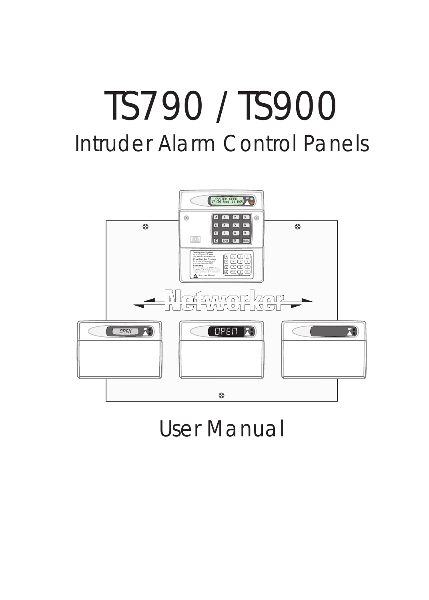# TS790 / TS900 Intruder Alarm Control Panels



# User Manual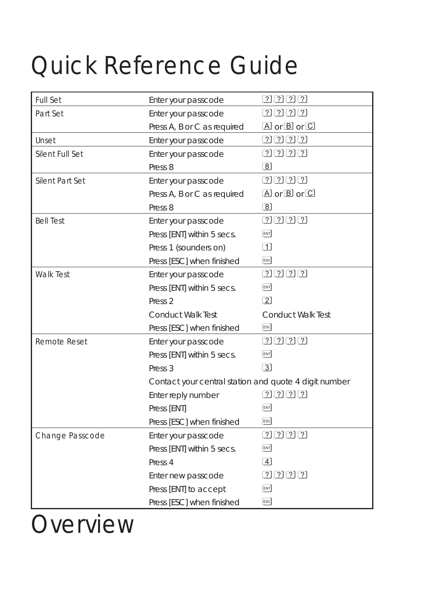# *Quick Reference Guide*

| <b>Full Set</b>        | Enter your passcode                                   | [?][?][?][?]               |
|------------------------|-------------------------------------------------------|----------------------------|
| Part Set               | Enter your passcode                                   | $[2]$ $[2]$ $[2]$ $[2]$    |
|                        | Press A, B or C as required                           | $\Box$ or $\Box$ or $\Box$ |
| Unset                  | Enter your passcode                                   | 2222                       |
| Silent Full Set        | Enter your passcode                                   | 2222                       |
|                        | Press <sub>8</sub>                                    | $\sqrt{8}$                 |
| <b>Silent Part Set</b> | Enter your passcode                                   | $[2]$ $[2]$ $[2]$ $[2]$    |
|                        | Press A, B or C as required                           | $\Box$ or $\Box$ or $\Box$ |
|                        | Press <sub>8</sub>                                    | $\sqrt{8}$                 |
| <b>Bell Test</b>       | Enter your passcode                                   | 2222                       |
|                        | Press [ENT] within 5 secs.                            | ENT                        |
|                        | Press 1 (sounders on)                                 | $\boxed{1}$                |
|                        | Press [ESC] when finished                             | <b>ESC</b>                 |
| <b>Walk Test</b>       | Enter your passcode                                   | [?][?][?][?]               |
|                        | Press [ENT] within 5 secs.                            | ENT                        |
|                        | Press <sub>2</sub>                                    | $\boxed{2}$                |
|                        | <b>Conduct Walk Test</b>                              | <b>Conduct Walk Test</b>   |
|                        | Press [ESC] when finished                             | <b>ESC</b>                 |
| <b>Remote Reset</b>    | Enter your passcode                                   | 2222                       |
|                        | Press [ENT] within 5 secs.                            | ENT                        |
|                        | Press <sub>3</sub>                                    | $\lceil 3 \rceil$          |
|                        | Contact your central station and quote 4 digit number |                            |
|                        | Enter reply number                                    | $[2]$ $[2]$ $[2]$ $[2]$    |
|                        | Press [ENT]                                           | ENT                        |
|                        | Press [ESC] when finished                             | <b>ESC</b>                 |
| Change Passcode        | Enter your passcode                                   | 2222                       |
|                        | Press [ENT] within 5 secs.                            | ENT                        |
|                        | Press 4                                               | $\left 4\right $           |
|                        | Enter new passcode                                    | [?][?][?][?]               |
|                        | Press [ENT] to accept                                 | ENT                        |
|                        | Press [ESC] when finished                             | ESC                        |

*Overview*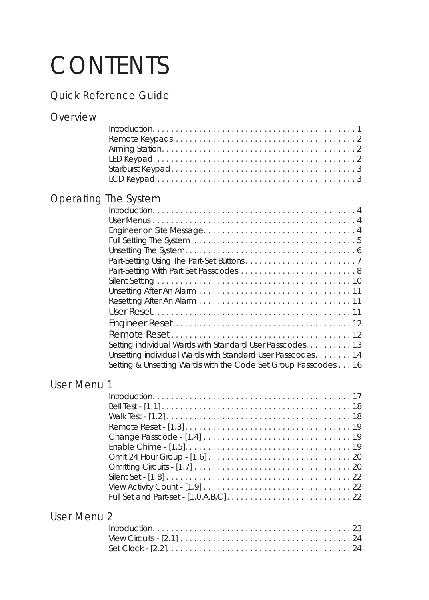# *CONTENTS*

# *Quick Reference Guide*

# *Overview*

# *Operating The System*

| Setting individual Wards with Standard User Passcodes. 13      |
|----------------------------------------------------------------|
| Unsetting individual Wards with Standard User Passcodes 14     |
| Setting & Unsetting Wards with the Code Set Group Passcodes 16 |
|                                                                |

# *User Menu 1*

# *User Menu 2*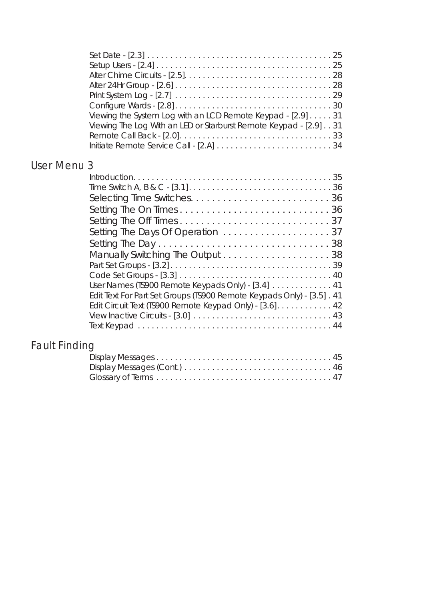|                      | Viewing the System Log with an LCD Remote Keypad - [2.9] 31<br>Viewing The Log With an LED or Starburst Remote Keypad - [2.9] 31 |  |
|----------------------|----------------------------------------------------------------------------------------------------------------------------------|--|
| User Menu 3          |                                                                                                                                  |  |
|                      |                                                                                                                                  |  |
|                      |                                                                                                                                  |  |
|                      |                                                                                                                                  |  |
|                      |                                                                                                                                  |  |
|                      |                                                                                                                                  |  |
|                      |                                                                                                                                  |  |
|                      |                                                                                                                                  |  |
|                      |                                                                                                                                  |  |
|                      |                                                                                                                                  |  |
|                      | User Names (TS900 Remote Keypads Only) - [3.4] 41                                                                                |  |
|                      | Edit Text For Part Set Groups (TS900 Remote Keypads Only) - [3.5] . 41                                                           |  |
|                      | Edit Circuit Text (TS900 Remote Keypad Only) - [3.6] 42                                                                          |  |
|                      |                                                                                                                                  |  |
|                      |                                                                                                                                  |  |
| <b>Fault Finding</b> |                                                                                                                                  |  |
|                      |                                                                                                                                  |  |
|                      |                                                                                                                                  |  |

Glossary of Terms . . . . . . . . . . . . . . . . . . . . . . . . . . . . . . . . . . . . . . 47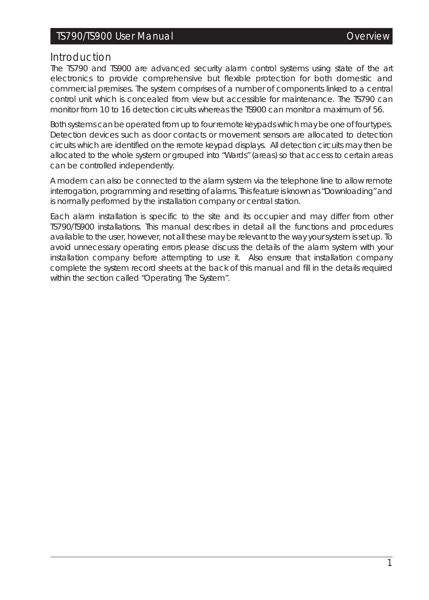### *Introduction*

The TS790 and TS900 are advanced security alarm control systems using state of the art electronics to provide comprehensive but flexible protection for both domestic and commercial premises. The system comprises of a number of components linked to a central control unit which is concealed from view but accessible for maintenance. The TS790 can monitor from 10 to 16 detection circuits whereas the TS900 can monitor a maximum of 56.

Both systems can be operated from up to four remote keypads which may be one of four types. Detection devices such as door contacts or movement sensors are allocated to detection circuits which are identified on the remote keypad displays. All detection circuits may then be allocated to the whole system or grouped into "Wards" (areas) so that access to certain areas can be controlled independently.

A modem can also be connected to the alarm system via the telephone line to allow remote interrogation, programming and resetting of alarms. This feature is known as "Downloading" and is normally performed by the installation company or central station.

Each alarm installation is specific to the site and its occupier and may differ from other TS790/TS900 installations. This manual describes in detail all the functions and procedures available to the user, however, not all these may be relevant to the way your system is set up. To avoid unnecessary operating errors please discuss the details of the alarm system with your installation company before attempting to use it. Also ensure that installation company complete the system record sheets at the back of this manual and fill in the details required within the section called *"Operating The System"*.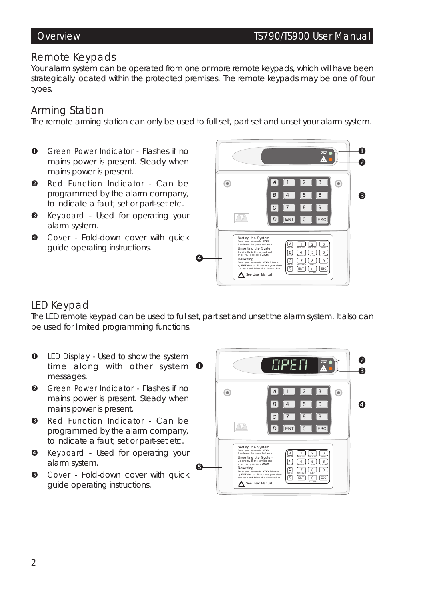## *Remote Keypads*

Your alarm system can be operated from one or more remote keypads, which will have been strategically located within the protected premises. The remote keypads may be one of four types.

# *Arming Station*

The remote arming station can only be used to full set, part set and unset your alarm system.

- **O** Green Power Indicator Flashes if no mains power is present. Steady when mains power is present.
- **Q** Red Function Indicator Can be programmed by the alarm company, to indicate a fault, set or part-set etc.
- **8** Keyboard Used for operating your alarm system.
- **O** Cover Fold-down cover with quick guide operating instructions.



# *LED Keypad*

The LED remote keypad can be used to full set, part set and unset the alarm system. It also can be used for limited programming functions.

- **O** LED Display Used to show the system time along with other system  $\bullet$ messages.
- **Q** Green Power Indicator Flashes if no mains power is present. Steady when mains power is present.
- **8** Red Function Indicator Can be programmed by the alarm company, to indicate a fault, set or part-set etc.
- $\bullet$  Keyboard Used for operating your alarm system.
- **O** Cover Fold-down cover with quick guide operating instructions.

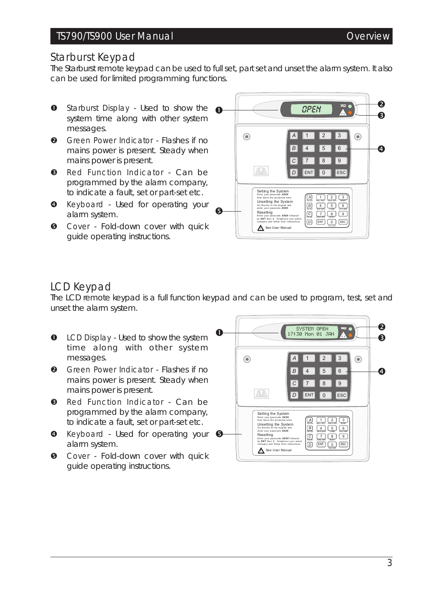Ð

❷

 $\overline{a}$ 

 $\circledcirc$ 

*OPEN* ~

 $\bullet$   $\bullet$   $\bullet$   $\bullet$   $\bullet$ 

## TS790/TS900 User Manual and Controller Controller Controller Controller Controller Controller Controller Controller

### *Starburst Keypad*

The Starburst remote keypad can be used to full set, part set and unset the alarm system. It also can be used for limited programming functions.

- **O** Starburst Display Used to show the system time along with other system messages.
- **<sup>O</sup>** Green Power Indicator Flashes if no mains power is present. Steady when mains power is present.
- **8** Red Function Indicator Can be programmed by the alarm company, to indicate a fault, set or part-set etc.
- **<sup>O</sup>** Keyboard Used for operating your alarm system.
- **6** Cover Fold-down cover with quick guide operating instructions.

#### $\circledcirc$ *A* 1 2 3  $\sqrt{4}$  5  $\sqrt{6}$ *B C* 7 8 9 ENT 0 ESC *D* Setting the System<br>Enter your passcode XXXX **A** 1 2 3 then leave the protected area.<br>Unsetting the System<br>Go directly to the keypad and<br>enter your passcode **XXXX** . *B*  $4$   $5$   $6$  $\ddot{\mathbf{e}}$ **Part Set Advices Contract Set ONE** Resetting Enter your passcode *XXXX* followed<br>by *ENT* then 3. Telephone your alarm<br>company and follow their instructions. **D ENT 0 ESC**

See User Manual

# *LCD Keypad*

The LCD remote keypad is a full function keypad and can be used to program, test, set and unset the alarm system.

- **O** LCD Display Used to show the system time along with other system messages.
- **A** Green Power Indicator Flashes if no mains power is present. Steady when mains power is present.
- **B** Red Function Indicator Can be programmed by the alarm company, to indicate a fault, set or part-set etc.
- **O** Keyboard Used for operating your **O** alarm system.
- **6** Cover Fold-down cover with quick guide operating instructions.

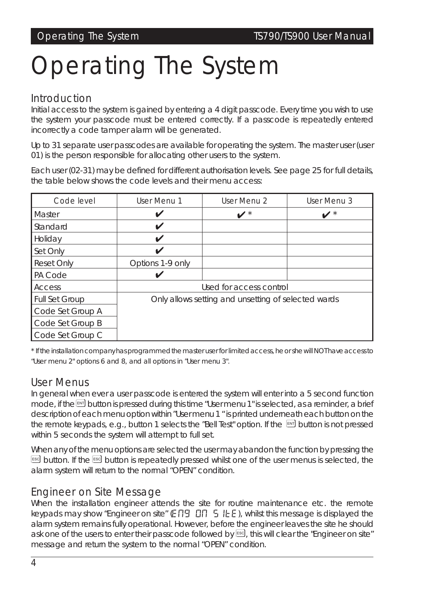# *Operating The System*

# *Introduction*

Initial access to the system is gained by entering a 4 digit passcode. Every time you wish to use the system your passcode must be entered correctly. If a passcode is repeatedly entered incorrectly a code tamper alarm will be generated.

Up to 31 separate user passcodes are available for operating the system. The master user (user 01) is the person responsible for allocating other users to the system.

Each user (02-31) may be defined for different authorisation levels. *See page 25 for full details*, the table below shows the code levels and their menu access:

| Code level        | User Menu 1      | User Menu 2                                         | User Menu 3 |
|-------------------|------------------|-----------------------------------------------------|-------------|
| <b>Master</b>     | V                | $\boldsymbol{v}^*$                                  |             |
| Standard          | V                |                                                     |             |
| Holiday           | V                |                                                     |             |
| Set Only          | ✓                |                                                     |             |
| <b>Reset Only</b> | Options 1-9 only |                                                     |             |
| PA Code           |                  |                                                     |             |
| Access            |                  | Used for access control                             |             |
| Full Set Group    |                  | Only allows setting and unsetting of selected wards |             |
| Code Set Group A  |                  |                                                     |             |
| Code Set Group B  |                  |                                                     |             |
| Code Set Group C  |                  |                                                     |             |

\* If the installation company has programmed the master user for limited access, he or she will NOT have access to *"User menu 2" options 6 and 8, and all options in "User menu 3".*

# *User Menus*

In general when ever a user passcode is entered the system will enter into a 5 second function mode, if the [button is pressed during this time "User menu 1" is selected, as a reminder, a brief description of each menu option within "User menu 1 " is printed underneath each button on the the remote keypads, e.g., button 1 selects the "Bell Test" option. If the  $\mathbb{F}$  button is not pressed within 5 seconds the system will attempt to full set.

When any of the menu options are selected the user may abandon the function by pressing the ESS button. If the ESS button is repeatedly pressed whilst one of the user menus is selected, the alarm system will return to the normal "OPEN" condition.

# *Engineer on Site Message*

When the installation engineer attends the site for routine maintenance etc. the remote keypads may show "Engineer on site" ( $E$   $\Box$  $E$   $\Box$   $E$   $E$  ), whilst this message is displayed the alarm system remains fully operational. However, before the engineer leaves the site he should ask one of the users to enter their passcode followed by <sup>[59]</sup>, this will clear the "Engineer on site" message and return the system to the normal "OPEN" condition.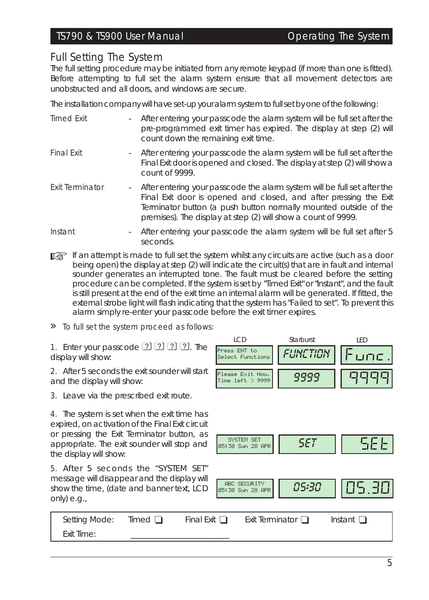## TS790 & TS900 User Manual Contract Contract Contract Operating The System

### *Full Setting The System*

The full setting procedure may be initiated from any remote keypad (if more than one is fitted). Before attempting to full set the alarm system ensure that all movement detectors are unobstructed and all doors, and windows are secure.

The installation company will have set-up your alarm system to fullset by one of the following:

| <b>Timed Exit</b>      | - After entering your passcode the alarm system will be full set after the<br>pre-programmed exit timer has expired. The display at step (2) will<br>count down the remaining exit time.                                                                                             |
|------------------------|--------------------------------------------------------------------------------------------------------------------------------------------------------------------------------------------------------------------------------------------------------------------------------------|
| <b>Final Exit</b>      | - After entering your passcode the alarm system will be full set after the<br>Final Exit door is opened and closed. The display at step (2) will show a<br>count of 9999.                                                                                                            |
| <b>Exit Terminator</b> | - After entering your passcode the alarm system will be full set after the<br>Final Exit door is opened and closed, and after pressing the Exit<br>Terminator button (a push button normally mounted outside of the<br>premises). The display at step (2) will show a count of 9999. |
| Instant                | - After entering your passcode the alarm system will be full set after 5<br>seconds.                                                                                                                                                                                                 |

If an attempt is made to full set the system whilst any circuits are active (such as a door *being open) the display at step (2) will indicate the circuit(s) that are in fault and internal sounder generates an interrupted tone. The fault must be cleared before the setting procedure can be completed. If the system is set by "Timed Exit" or "Instant", and the fault* is still present at the end of the exit time an internal alarm will be generated. If fitted, the *external strobe light will flash indicating that the system has "Failed to set". To prevent this alarm simply re-enter your passcode before the exit timer expires.*

#### » To full set the system proceed as follows:

1. Enter your passcode  $\boxed{?}$   $\boxed{?}$   $\boxed{?}$   $\boxed{?}$ . The display will show:

2. After 5 seconds the exit sounder will start and the display will show:

3. Leave via the prescribed exit route.

4. The system is set when the exit time has expired, on activation of the Final Exit circuit or pressing the Exit Terminator button, as appropriate. The exit sounder will stop and the display will show:

5. After 5 seconds the "SYSTEM SET" message will disappear and the display will show the time, (date and banner text, LCD only) e.g.,







| Setting Mode: | Timed <sub>I</sub> | Final Exit [ | Exit Terminator $\Box$ | Instant |
|---------------|--------------------|--------------|------------------------|---------|
| Exit Time:    |                    |              |                        |         |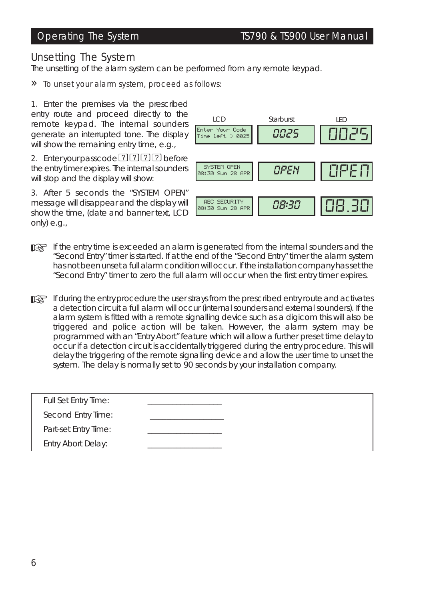### Operating The System TS790 & TS900 User Manual

# *Unsetting The System*

The unsetting of the alarm system can be performed from any remote keypad.

» To unset your alarm system, proceed as follows:

1. Enter the premises via the prescribed entry route and proceed directly to the remote keypad. The internal sounders generate an interrupted tone. The display will show the remaining entry time, e.g.,

2. Enter your passcode  $2222$  before the entry timer expires. The internal sounders will stop and the display will show:

3. After 5 seconds the "SYSTEM OPEN" message will disappear and the display will show the time, (date and banner text, LCD only) e.g.,



- ☞ *If the entry time is exceeded an alarm is generated from the internal sounders and the "Second Entry" timer is started. If at the end of the "Second Entry" timer the alarm system has not been unset a full alarm condition will occur. If the installation company has set the "Second Entry" timer to zero the full alarm will occur when the first entry timer expires.*
- ☞ *If during the entry procedure the user strays from the prescribed entry route and activates a detection circuit a full alarm will occur (internal sounders and external sounders). If the alarm system is fitted with a remote signalling device such as a digicom this will also be triggered and police action will be taken. However, the alarm system may be programmed with an "Entry Abort" feature which will allow a further preset time delay to occur if a detection circuit is accidentally triggered during the entry procedure. This will delay the triggering of the remote signalling device and allow the user time to unset the system. The delay is normally set to 90 seconds by your installation company.*

| Full Set Entry Time: |  |
|----------------------|--|
| Second Entry Time:   |  |
| Part-set Entry Time: |  |
| Entry Abort Delay:   |  |
|                      |  |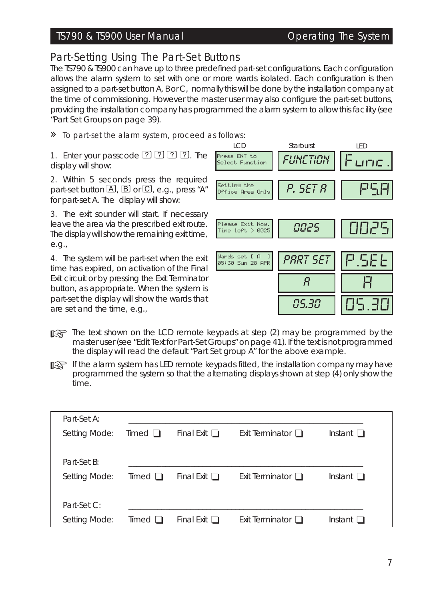### TS790 & TS900 User Manual Contract Contract Contract Operating The System

# *Part-Setting Using The Part-Set Buttons*

The TS790 & TS900 can have up to three predefined part-set configurations. Each configuration allows the alarm system to set with one or more wards isolated. Each configuration is then assigned to a part-set button A, B or C, normally this will be done by the installation company at the time of commissioning. However the master user may also configure the part-set buttons, providing the installation company has programmed the alarm system to allow this facility *(see "Part Set Groups on page 39).*

#### » To part-set the alarm system, proceed as follows:

1. Enter your passcode  $[2]$   $[2]$   $[2]$   $[2]$ . The display will show:

2. Within 5 seconds press the required part-set button  $\Box$ ,  $\Box$  or  $\Box$ , e.g., press "A" for part-set A. The display will show:

3. The exit sounder will start. If necessary leave the area via the prescribed exit route. The display will show the remaining exit time, e.g.,

4. The system will be part-set when the exit time has expired, on activation of the Final Exit circuit or by pressing the Exit Terminator button, as appropriate. When the system is part-set the display will show the wards that are set and the time, e.g.,



☞ *The text shown on the LCD remote keypads at step (2) may be programmed by the master user (see "Edit Text for Part-Set Groups" on page 41). If the text is not programmed the display will read the default "Part Set group A" for the above example.*

☞ *If the alarm system has LED remote keypads fitted, the installation company may have programmed the system so that the alternating displays shown at step (4) only show the time.*

| Part-Set A:                  |                |                   |                        |                   |
|------------------------------|----------------|-------------------|------------------------|-------------------|
| Setting Mode:                | $Timed$ $\Box$ | Final Exit $\Box$ | Exit Terminator $\Box$ | Instant $\Box$    |
| Part-Set B:<br>Setting Mode: | Timed $\Box$   | Final Exit $\Box$ | Exit Terminator $\Box$ | Instant $\square$ |
|                              |                |                   |                        |                   |
| Part-Set C:                  |                |                   |                        |                   |
| Setting Mode:                | Timed $\Box$   | Final Exit $\Box$ | Exit Terminator $\Box$ | Instant $\Box$    |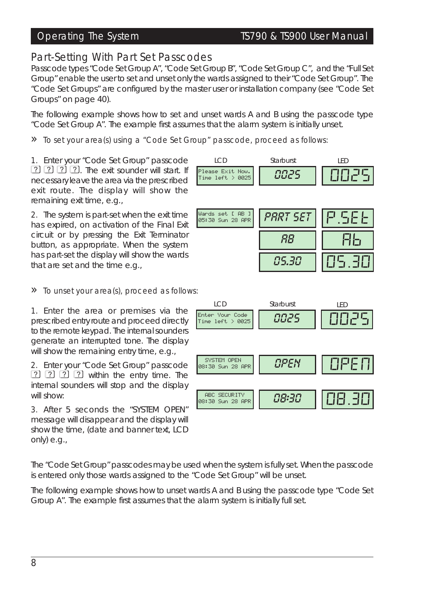# *Part-Setting With Part Set Passcodes*

Passcode types "Code Set Group A", "Code Set Group B", "Code Set Group C", and the "Full Set Group" enable the user to set and unset only the wards assigned to their "Code Set Group". The "Code Set Groups" are configured by the master user or installation company (see "Code Set Groups" on page 40).

The following example shows how to set and unset wards A and B using the passcode type "Code Set Group A". The example first assumes that the alarm system is initially unset.

» To set your area(s) using <sup>a</sup> "Code Set Group" passcode, proceed as follows:

1. Enter your "Code Set Group" passcode  $[2]$   $[2]$   $[2]$   $[2]$ . The exit sounder will start. If necessary leave the area via the prescribed exit route. The display will show the remaining exit time, e.g.,

2. The system is part-set when the exit time has expired, on activation of the Final Exit circuit or by pressing the Exit Terminator button, as appropriate. When the system has part-set the display will show the wards that are set and the time e.g.,

#### » To unset your area(s), proceed as follows:

1. Enter the area or premises via the prescribed entry route and proceed directly to the remote keypad. The internalsounders generate an interrupted tone. The display will show the remaining entry time, e.g.,

2. Enter your "Code Set Group" passcode  $[2]$   $[2]$   $[2]$   $[3]$  within the entry time. The internal sounders will stop and the display will show:

3. After 5 seconds the "SYSTEM OPEN" message will disappear and the display will show the time, (date and banner text, LCD only) e.g.,

The "Code Set Group" passcodes may be used when the system is fully set. When the passcode is entered only those wards assigned to the "Code Set Group" will be unset.

The following example shows how to unset wards A and B using the passcode type "Code Set Group A". The example first assumes that the alarm system is initially full set.



| Wards set [ AB ]<br>05:30 Sun 28 APR | '5E1<br>-821 |  |
|--------------------------------------|--------------|--|
|                                      |              |  |
|                                      | $\mathbf{H}$ |  |

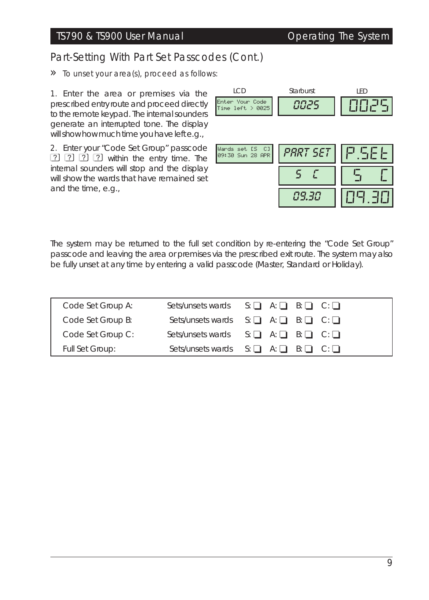# Part-Setting With Part Set Passcodes (Cont.)

# » To unset your area(s), proceed as follows:

1. Enter the area or premises via the prescribed entry route and proceed directly to the remote keypad. The internalsounders generate an interrupted tone. The display will show how much time you have left e.g.,

2. Enter your "Code Set Group" passcode  $[2]$   $[2]$   $[2]$   $[2]$  within the entry time. The internal sounders will stop and the display will show the wards that have remained set and the time, e.g.,

| LCD                                  | Starburst | I FD        |
|--------------------------------------|-----------|-------------|
| Enter Your Code<br>Time left $>0025$ | 9025      | <b>OOZS</b> |
|                                      |           |             |
|                                      |           |             |
| Wards set [S C]<br>09:30 Sun 28 APR  | PART SET  | P.SEET      |
|                                      |           |             |
|                                      |           |             |
|                                      | 89.38     |             |

The system may be returned to the full set condition by re-entering the "Code Set Group" passcode and leaving the area or premises via the prescribed exit route. The system may also be fully unset at any time by entering a valid passcode (Master, Standard or Holiday).

| Code Set Group A: | Sets/unsets wards $S: \Box A: \Box B: \Box C: \Box$ |
|-------------------|-----------------------------------------------------|
| Code Set Group B: | Sets/unsets wards $S: \Box A: \Box B: \Box C: \Box$ |
| Code Set Group C: | Sets/unsets wards $S: \Box A: \Box B: \Box C: \Box$ |
| Full Set Group:   | Sets/unsets wards $S: \Box A: \Box B: \Box C: \Box$ |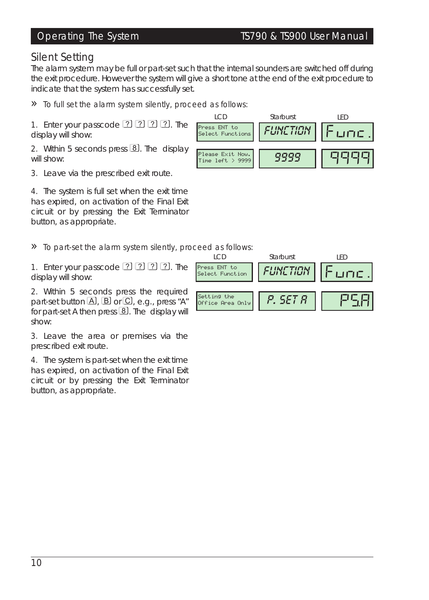## *Silent Setting*

The alarm system may be full or part-set such that the internal sounders are switched off during the exit procedure. However the system will give a short tone at the end of the exit procedure to indicate that the system has successfully set.

#### » To full set the alarm system silently, proceed as follows:

1. Enter your passcode  $\boxed{?}$   $\boxed{?}$   $\boxed{?}$   $\boxed{?}$ . The display will show:

2. Within 5 seconds press  $\boxed{8}$ . The display will show:

3. Leave via the prescribed exit route.

4. The system is full set when the exit time has expired, on activation of the Final Exit circuit or by pressing the Exit Terminator button, as appropriate.

### » To part-set the alarm system silently, proceed as follows:

1. Enter your passcode  $\boxed{?}$   $\boxed{?}$   $\boxed{?}$   $\boxed{?}$ . The display will show:

2. Within 5 seconds press the required part-set button  $\boxed{A}$ ,  $\boxed{B}$  or  $\boxed{C}$ , e.g., press "A" for part-set A then press  $\boxed{8}$ . The display will show:

3. Leave the area or premises via the prescribed exit route.

4. The system is part-set when the exit time has expired, on activation of the Final Exit circuit or by pressing the Exit Terminator button, as appropriate.



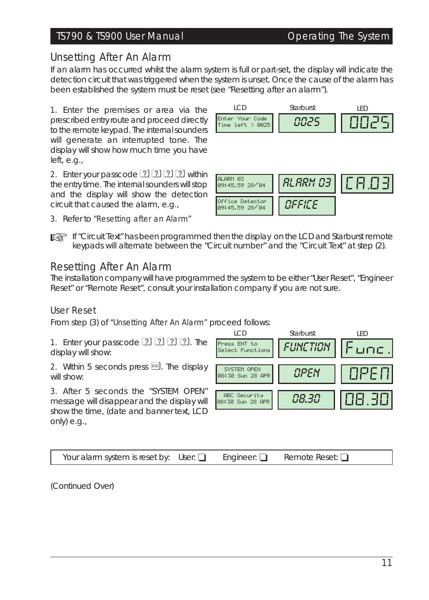# TS790 & TS900 User Manual Operating The System

# *Unsetting After An Alarm*

If an alarm has occurred whilst the alarm system is full or part-set, the display will indicate the detection circuit that was triggered when the system is unset. Once the cause of the alarm has been established the system must be reset (*see "Resetting after an alarm"*).

1. Enter the premises or area via the prescribed entry route and proceed directly to the remote keypad. The internal sounders will generate an interrupted tone. The display will show how much time you have left, e.g.,

2. Enter your passcode  $\boxed{2}$   $\boxed{2}$   $\boxed{2}$   $\boxed{2}$  within the entry time. The internal sounders will stop and the display will show the detection circuit that caused the alarm, e.g.,

3. Refer to *"Resetting after an Alarm"*



☞ *If "Circuit Text" has been programmed then the display on the LCD and Starburst remote keypads will alternate between the "Circuit number" and the "Circuit Text" at step (2).*

# *Resetting After An Alarm*

The installation company will have programmed the system to be either *"User Reset"*, *"Engineer Reset"* or *"Remote Reset"*, consult your installation company if you are not sure.

# *User Reset*

From step (3) of *"Unsetting After An Alarm"* proceed follows:

1. Enter your passcode  $\boxed{?}$   $\boxed{?}$   $\boxed{?}$   $\boxed{?}$ . The display will show:

2. Within 5 seconds press  $\epsilon$  and The display will show:

3. After 5 seconds the "SYSTEM OPEN" message will disappear and the display will show the time, (date and banner text, LCD only) e.g.,



(Continued Over)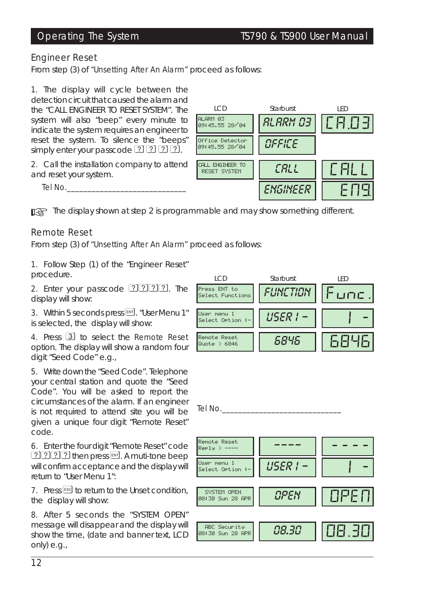#### *Engineer Reset*

From step (3) of *"Unsetting After An Alarm"* proceed as follows:

1. The display will cycle between the detection circuit that caused the alarm and the "CALL ENGINEER TO RESET SYSTEM". The system will also "beep" every minute to indicate the system requires an engineer to reset the system. To silence the "beeps" simply enter your passcode  $[2]$   $[2]$   $[2]$   $[2]$ .

2. Call the installation company to attend and reset your system.

Tel No.



☞ *The display shown at step <sup>2</sup> is programmable and may show something different.*

### *Remote Reset*

From step (3) of *"Unsetting After An Alarm"* proceed as follows:

1. Follow Step (1) of the *"Engineer Reset"* procedure.

2. Enter your passcode  $[2]$   $[2]$   $[2]$   $[2]$ . The display will show:

3. Within 5 seconds press [NT]. "User Menu 1" is selected, the display will show:

4. Press 3 to select the Remote Reset option. The display will show a random four digit *"Seed Code"* e.g.,

5. Write down the *"Seed Code"*. Telephone your central station and quote the *"Seed Code"*. You will be asked to report the circumstances of the alarm. If an engineer is not required to attend site you will be given a unique four digit "Remote Reset" code.

6. Enter the four digit "Remote Reset" code ????? then press [87]. A muti-tone beep will confirm acceptance and the display will return to "User Menu 1":

7. Press Esd to return to the Unset condition, the display will show:

8. After 5 seconds the "SYSTEM OPEN" message will disappear and the display will show the time, (date and banner text, LCD only) e.g.,



Tel No.

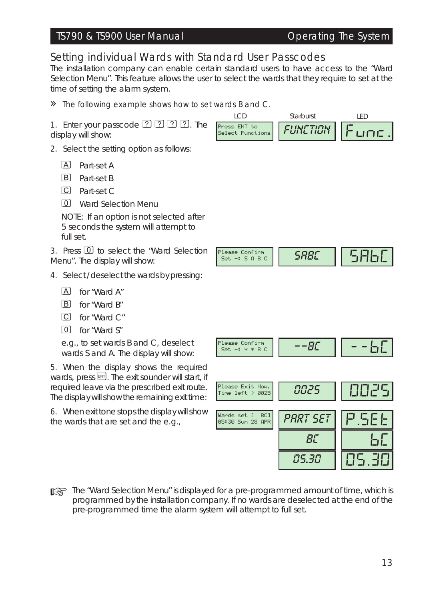### TS790 & TS900 User Manual Contract Contract Contract Operating The System

# *Setting individual Wards with Standard User Passcodes*

The installation company can enable certain standard users to have access to the "Ward Selection Menu". This feature allows the user to select the wards that they require to set at the time of setting the alarm system.

#### » The following example shows how to set wards <sup>B</sup> and C.

1. Enter your passcode  $[2]$   $[2]$   $[2]$   $[2]$ . The display will show:

- 2. Select the setting option as follows:
	- A Part-set A
	- **B** Part-set B
	- C Part-set C
	- 0 Ward Selection Menu

*NOTE: If an option is not selected after 5 seconds the system will attempt to full set.*

3. Press 0 to select the "Ward Selection Menu". The display will show:

- 4. Select / deselect the wards by pressing:
	- A for "Ward A"
	- $\boxed{B}$  for "Ward B"
	- $\overline{C}$  for "Ward  $C$ "
	- $\boxed{0}$  for "Ward S"

e.g., to set wards B and C, deselect wards S and A. The display will show:

5. When the display shows the required wards, press  $[III]$ . The exit sounder will start, if required leave via the prescribed exit route. The display will show the remaining exit time:

6. When exit tone stopsthe display willshow the wards that are set and the e.g.,



☞ *The "Ward Selection Menu" is displayed for <sup>a</sup> pre-programmed amount of time, which is programmed by the installation company. If no wards are deselected at the end of the pre-programmed time the alarm system will attempt to full set.*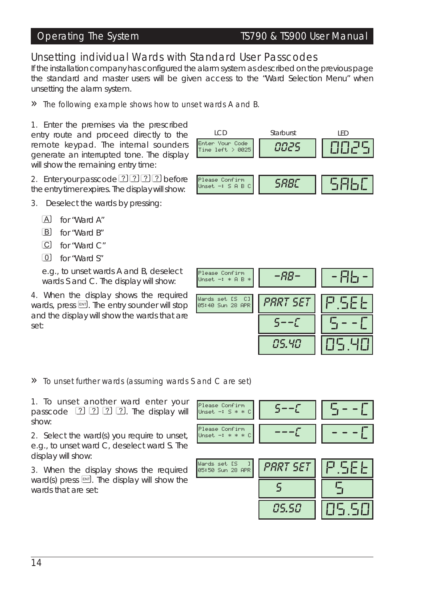# *Unsetting individual Wards with Standard User Passcodes*

If the installation company has configured the alarm system as described on the previous page the standard and master users will be given access to the "Ward Selection Menu" when unsetting the alarm system.

#### » The following example shows how to unset wards <sup>A</sup> and B.

1. Enter the premises via the prescribed entry route and proceed directly to the remote keypad. The internal sounders generate an interrupted tone. The display will show the remaining entry time:

2. Enter your passcode  $[2]$   $[2]$   $[2]$  before the entry timer expires. The display willshow:

- 3. Deselect the wards by pressing:
	- $[A]$  for "Ward A"
	- B for "Ward B"
	- $\overline{C}$  for "Ward  $\overline{C}$ "
	- $\boxed{0}$  for "Ward S"

e.g., to unset wards A and B, deselect wards S and C. The display will show:

4. When the display shows the required wards, press  $[III]$ . The entry sounder will stop and the display will show the wards that are set:

### » To unset further wards (assuming wards <sup>S</sup> and <sup>C</sup> are set)

1. To unset another ward enter your passcode  $[2]$   $[2]$   $[2]$   $[2]$ . The display will show:

2. Select the ward(s) you require to unset, e.g., to unset ward C, deselect ward S. The display will show:

3. When the display shows the required ward(s) press  $[III]$ . The display will show the wards that are set:





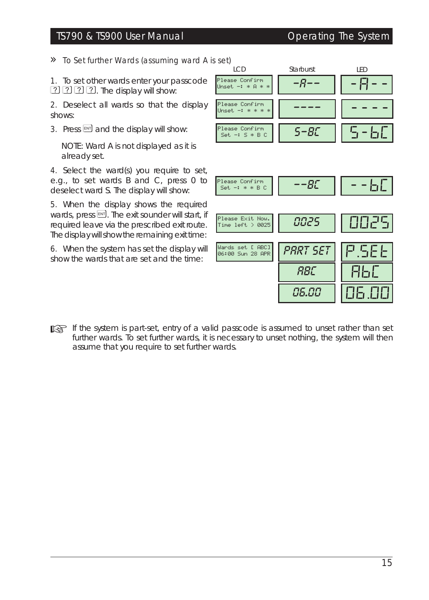### TS790 & TS900 User Manual Operating The System

» *To Set further Wards (assuming ward <sup>A</sup> is set)*

1. To set other wards enter your passcode  $[2]$   $[2]$   $[2]$   $[2]$ . The display will show:

2. Deselect all wards so that the display shows:

3. Press  $[III]$  and the display will show:

*NOTE: Ward A is not displayed as it is already set.*

4. Select the ward(s) you require to set, e.g., to set wards B and C, press 0 to deselect ward S. The display will show:

5. When the display shows the required wards, press  $[III]$ . The exit sounder will start, if required leave via the prescribed exit route. The display will show the remaining exit time:

6. When the system has set the display will show the wards that are set and the time:

| <b>LCD</b>                             | Starburst        | <b>IFD</b> |
|----------------------------------------|------------------|------------|
| Please Confirm<br>Unset $-1$ * A * *   | -8--             |            |
| Please Confirm<br>Unset $-1$ * * * *   |                  |            |
| Please Confirm<br>$Set -: S * B C$     | $5 - BC$         | $5 - 60$   |
|                                        |                  |            |
| Please Confirm<br>$Set -: * * B C$     | $--B\mathcal{L}$ | - - 50     |
| Please Exit Now.<br>Time left $> 0025$ | 0025             | 10025      |
| Wards set [ ABC]<br>06:00 Sun 28 APR   | PART SET         | PISEE      |
|                                        | RBC              | 86C        |
|                                        | 86.88            | 06.001     |

☞ *If the system is part-set, entry of <sup>a</sup> valid passcode is assumed to unset rather than set further wards. To set further wards, it is necessary to unset nothing, the system will then assume that you require to set further wards.*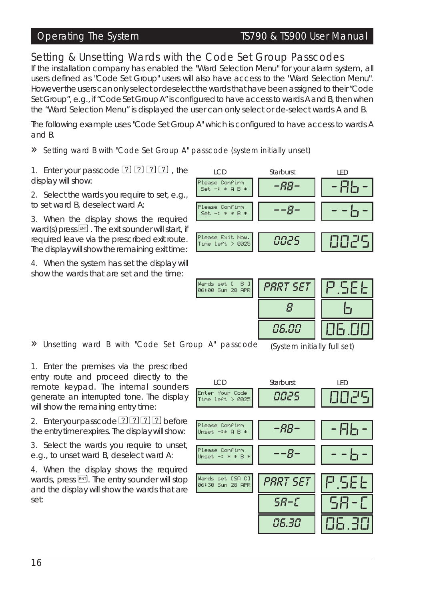## Operating The System TS790 & TS900 User Manual

# *Setting & Unsetting Wards with the Code Set Group Passcodes*

If the installation company has enabled the "Ward Selection Menu" for your alarm system, all users defined as "Code Set Group" users will also have access to the "Ward Selection Menu". However the users can only select or deselect the wards that have been assigned to their "Code Set Group", e.g., if "Code Set Group A" is configured to have accessto wards A and B, then when the "Ward Selection Menu" is displayed the user can only select or de-select wards A and B.

The following example uses "Code Set Group A" which is configured to have access to wards A and B.

#### » Setting ward <sup>B</sup> with "Code Set Group A" passcode (system initially unset)

1. Enter your passcode  $\boxed{?}$   $\boxed{?}$   $\boxed{?}$   $\boxed{?}$  the display will show:

2. Select the wards you require to set, e.g., to set ward B, deselect ward A:

3. When the display shows the required ward(s) press  $[III]$ . The exit sounder will start, if required leave via the prescribed exit route. The display will show the remaining exit time:

4. When the system has set the display will show the wards that are set and the time:



1. Enter the premises via the prescribed entry route and proceed directly to the remote keypad. The internal sounders generate an interrupted tone. The display will show the remaining entry time:

2. Enter your passcode ? ? ? ? ? before the entry timer expires. The display willshow:

3. Select the wards you require to unset, e.g., to unset ward B, deselect ward A:

4. When the display shows the required wards, press [N]. The entry sounder will stop and the display will show the wards that are set:

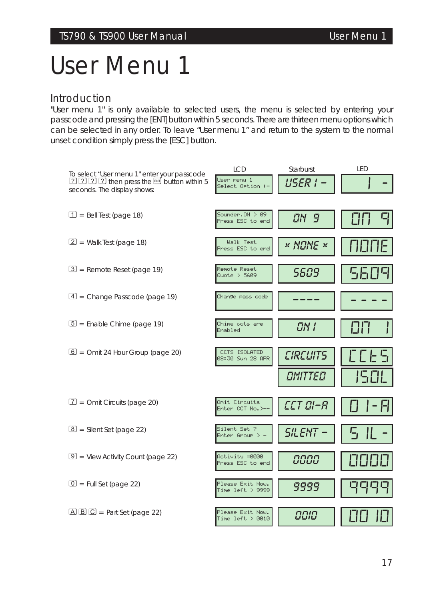# *User Menu 1*

### *Introduction*

"User menu 1" is only available to selected users, the menu is selected by entering your passcode and pressing the [ENT] button within 5 seconds. There are thirteen menu options which can be selected in any order. To leave "User menu 1" and return to the system to the normal unset condition simply press the [ESC] button.

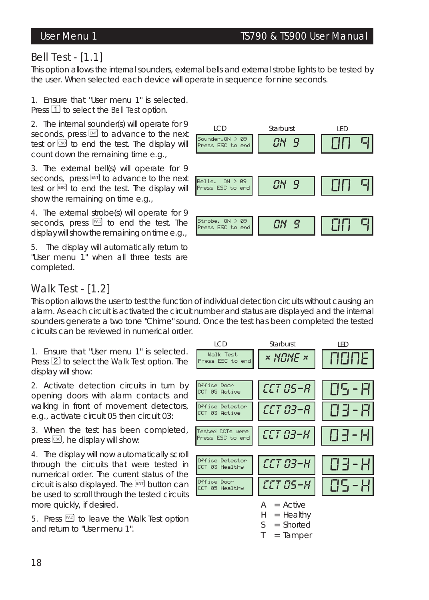# *Bell Test - [1.1]*

This option allows the internal sounders, external bells and external strobe lights to be tested by the user. When selected each device will operate in sequence for nine seconds.

1. Ensure that "User menu 1" is selected. Press 1 to select the Bell Test option.

2. The internal sounder(s) will operate for 9 seconds, press  $\boxed{\text{EM}}$  to advance to the next test or **ESC** to end the test. The display will count down the remaining time e.g.,

3. The external bell(s) will operate for 9 seconds, press  $[10]$  to advance to the next test or **[ESC** to end the test. The display will show the remaining on time e.g.,

4. The external strobe(s) will operate for 9 seconds, press <sup>[55C]</sup> to end the test. The display will show the remaining on time e.g.,

5. The display will automatically return to "User menu 1" when all three tests are completed.



# *Walk Test - [1.2]*

This option allows the user to test the function of individual detection circuits without causing an alarm. As each circuit is activated the circuit number and status are displayed and the internal sounders generate a two tone "Chime" sound. Once the test has been completed the tested circuits can be reviewed in numerical order.

1. Ensure that "User menu 1" is selected. Press  $[2]$  to select the Walk Test option. The display will show:

2. Activate detection circuits in turn by opening doors with alarm contacts and walking in front of movement detectors, e.g., activate circuit 05 then circuit 03:

3. When the test has been completed, press  $[58]$ , he display will show:

4. The display will now automatically scroll through the circuits that were tested in numerical order. The current status of the circuit is also displayed. The  $[$ <sup>ENT</sup> button can be used to scroll through the tested circuits more quickly, if desired.

5. Press  $\epsilon$ sso to leave the Walk Test option and return to "User menu 1".

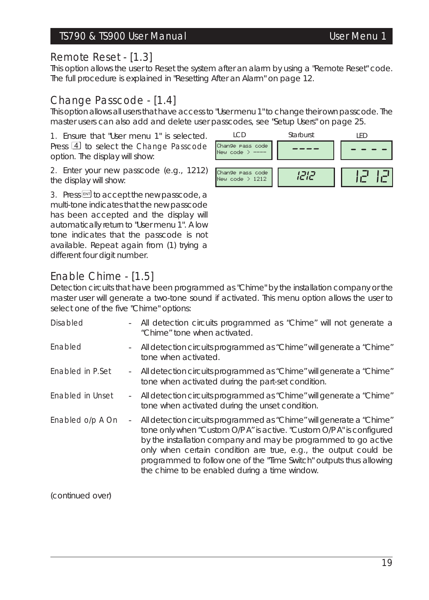### TS790 & TS900 User Manual User Menu 1

## *Remote Reset - [1.3]*

This option allows the user to Reset the system after an alarm by using a "Remote Reset" code. The full procedure is explained in "Resetting After an Alarm" on page 12.

# *Change Passcode - [1.4]*

This option allows all users that have access to "User menu 1" to change their own passcode. The master users can also add and delete user passcodes, see "Setup Users" on page 25.

1. Ensure that "User menu 1" is selected. Press 4 to select the Change Passcode option. The display will show:

2. Enter your new passcode (e.g., 1212) the display will show:

3. Press  $[III]$  to accept the new passcode, a multi-tone indicates that the new passcode has been accepted and the display will automatically return to "User menu 1". A low tone indicates that the passcode is not available. Repeat again from (1) trying a different four digit number.

# *Enable Chime - [1.5]*

Detection circuits that have been programmed as "Chime" by the installation company or the master user will generate a two-tone sound if activated. This menu option allows the user to select one of the five "Chime" options:

| Disabled         |                          | - All detection circuits programmed as "Chime" will not generate a<br>"Chime" tone when activated.                                                                                                                                                                                                                                                                                                         |
|------------------|--------------------------|------------------------------------------------------------------------------------------------------------------------------------------------------------------------------------------------------------------------------------------------------------------------------------------------------------------------------------------------------------------------------------------------------------|
| Enabled          |                          | - All detection circuits programmed as "Chime" will generate a "Chime"<br>tone when activated.                                                                                                                                                                                                                                                                                                             |
| Enabled in P.Set | $\sim$                   | All detection circuits programmed as "Chime" will generate a "Chime"<br>tone when activated during the part-set condition.                                                                                                                                                                                                                                                                                 |
| Enabled in Unset |                          | - All detection circuits programmed as "Chime" will generate a "Chime"<br>tone when activated during the unset condition.                                                                                                                                                                                                                                                                                  |
| Enabled o/p A On | $\overline{\phantom{a}}$ | All detection circuits programmed as "Chime" will generate a "Chime"<br>tone only when "Custom O/P A" is active. "Custom O/P A" is configured<br>by the installation company and may be programmed to go active<br>only when certain condition are true, e.g., the output could be<br>programmed to follow one of the "Time Switch" outputs thus allowing<br>the chime to be enabled during a time window. |

(continued over)

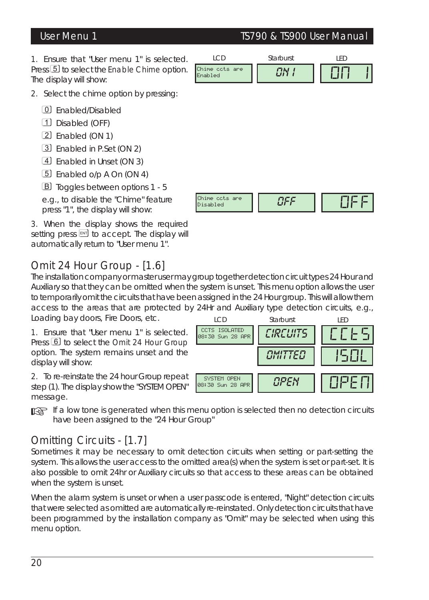User Menu 1 TS790 & TS900 User Manual

1. Ensure that "User menu 1" is selected. Press [5] to select the Enable Chime option. The display will show:



Chime ccts are Disabled *OFF* OFF

- 2. Select the chime option by pressing:
	- 0 Enabled/Disabled
	- 1 Disabled (OFF)
	- 2 Enabled (ON 1)
	- 3 Enabled in P.Set (ON 2)
	- 4 Enabled in Unset (ON 3)
	- 5 Enabled o/p A On (ON 4)
	- B Toggles between options 1 5
	- e.g., to disable the "Chime" feature press "1", the display will show:

3. When the display shows the required setting press  $\boxed{\mathbb{M}}$  to accept. The display will automatically return to "User menu 1".

# *Omit 24 Hour Group - [1.6]*

The installation company or master user may group together detection circuit types 24 Hour and Auxiliary so that they can be omitted when the system is unset. This menu option allows the user to temporarily omit the circuits that have been assigned in the 24 Hour group. This will allow them access to the areas that are protected by 24Hr and Auxiliary type detection circuits, e.g.,

Loading bay doors, Fire Doors, etc.

1. Ensure that "User menu 1" is selected. Press  $\boxed{6}$  to select the Omit 24 Hour Group option. The system remains unset and the display will show:

2. To re-reinstate the 24 hour Group repeat step (1). The display show the "SYSTEM OPEN" message.

☞ *If <sup>a</sup> low tone is generated when this menu option is selected then no detection circuits have been assigned to the "24 Hour Group"*

# *Omitting Circuits - [1.7]*

Sometimes it may be necessary to omit detection circuits when setting or part-setting the system. This allows the user access to the omitted area(s) when the system is set or part-set. It is also possible to omit 24hr or Auxiliary circuits so that access to these areas can be obtained when the system is unset.

When the alarm system is unset or when a user passcode is entered, "Night" detection circuits that were selected as omitted are automatically re-reinstated. Only detection circuits that have been programmed by the installation company as "Omit" may be selected when using this menu option.

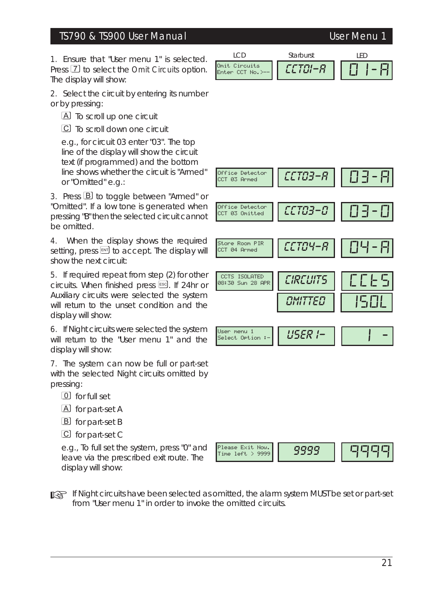### TS790 & TS900 User Manual User Menu 1

1. Ensure that "User menu 1" is selected. Press [7] to select the Omit Circuits option. The display will show:

2. Select the circuit by entering its number or by pressing:

A To scroll up one circuit

C To scroll down one circuit

e.g., for circuit 03 enter "03". The top line of the display will show the circuit text (if programmed) and the bottom line shows whether the circuit is "Armed" or "Omitted" e.g.:

3. Press **B** to toggle between "Armed" or "Omitted". If a low tone is generated when pressing "B" then the selected circuit cannot be omitted.

4. When the display shows the required setting, press  $\mathbb{F}$  to accept. The display will show the next circuit:

5. If required repeat from step (2) for other circuits. When finished press [ssc]. If 24hr or Auxiliary circuits were selected the system will return to the unset condition and the display will show:

6. If Night circuits were selected the system will return to the "User menu 1" and the display will show:

7. The system can now be full or part-set with the selected Night circuits omitted by pressing:

- 0 for full set
- A for part-set A
- B for part-set B
- C for part-set C

e.g., To full set the system, press "0" and leave via the prescribed exit route. The display will show:







☞ *If Night circuits have been selected as omitted, the alarm system MUST be set or part-set from "User menu 1" in order to invoke the omitted circuits.*

# LED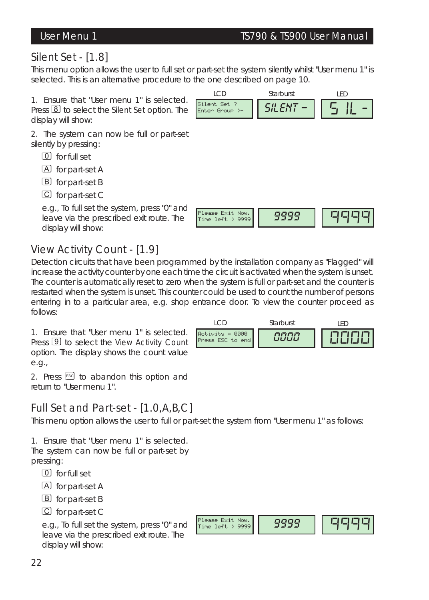# *Silent Set - [1.8]*

This menu option allows the user to full set or part-set the system silently whilst "User menu 1" is selected. This is an alternative procedure to the one described on page 10.

1. Ensure that "User menu 1" is selected. Press **8** to select the **Silent Set option**. The display will show:

2. The system can now be full or part-set silently by pressing:

- 0 for full set
- A for part-set A
- B for part-set B
- C for part-set C

e.g., To full set the system, press "0" and leave via the prescribed exit route. The display will show:

# *View Activity Count - [1.9]*

Detection circuits that have been programmed by the installation company as "Flagged" will increase the activity counter by one each time the circuit is activated when the system is unset. The counter is automatically reset to zero when the system is full or part-set and the counter is restarted when the system is unset. This counter could be used to count the number of persons entering in to a particular area, e.g. shop entrance door. To view the counter proceed as follows:

1. Ensure that "User menu 1" is selected. Press **9** to select the View Activity Count option. The display shows the count value e.g.,

2. Press  $\epsilon$  to abandon this option and return to "User menu 1".

# *Full Set and Part-set - [1.0,A,B,C]*

This menu option allows the user to full or part-set the system from "User menu 1" as follows:

1. Ensure that "User menu 1" is selected. The system can now be full or part-set by pressing:

- 0 for full set
- A for part-set A
- B for part-set B
- C for part-set C

e.g., To full set the system, press "0" and leave via the prescribed exit route. The display will show:





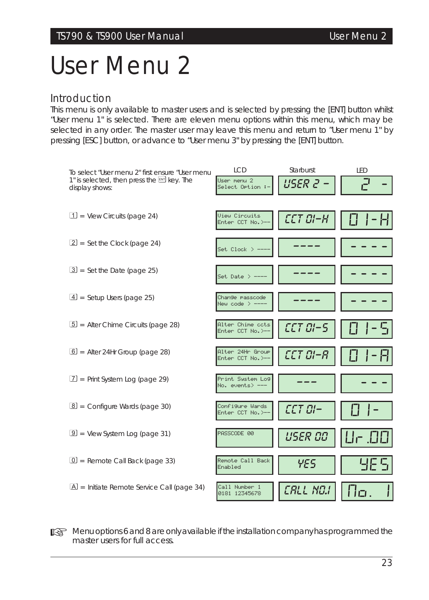# *User Menu 2*

### *Introduction*

This menu is only available to master users and is selected by pressing the [ENT] button whilst "User menu 1" is selected. There are eleven menu options within this menu, which may be selected in any order. The master user may leave this menu and return to "User menu 1" by pressing [ESC] button, or advance to "User menu 3" by pressing the [ENT] button.



☞ *Menu options <sup>6</sup> and <sup>8</sup> are only available if the installation company has programmed the master users for full access.*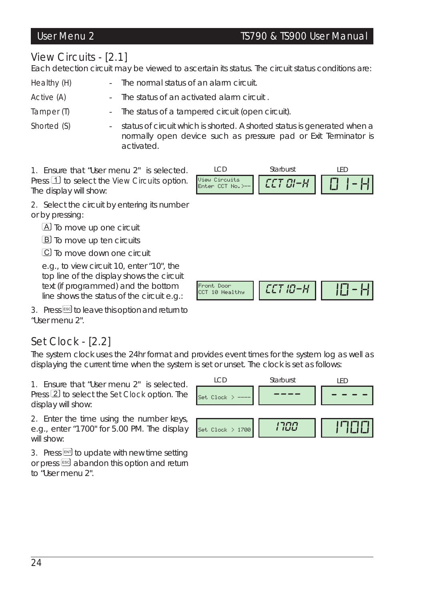### User Menu 2 TS790 & TS900 User Manual

# *View Circuits - [2.1]*

Each detection circuit may be viewed to ascertain its status. The circuit status conditions are:

- Healthy (H) The normal status of an alarm circuit.
- Active (A)  $\qquad \qquad$  The status of an activated alarm circuit

Tamper (T) The status of a tampered circuit (open circuit).

Shorted (S)  $\qquad \qquad$  - status of circuit which is shorted. A shorted status is generated when a normally open device such as pressure pad or Exit Terminator is activated.

1. Ensure that "User menu 2" is selected. Press  $\mathbb{I}$  to select the View Circuits option. The display will show:



2. Select the circuit by entering its number or by pressing:

A To move up one circuit

**B** To move up ten circuits

C To move down one circuit

e.g., to view circuit 10, enter "10", the top line of the display shows the circuit text (if programmed) and the bottom line shows the status of the circuit e.g.:

3. Press [ESC] to leave this option and return to "User menu 2".

# *Set Clock - [2.2]*

The system clock uses the 24hr format and provides event times for the system log as well as displaying the current time when the system is set or unset. The clock is set as follows:

Front Door

CCT <sup>10</sup> Healthy *CCT 10-H* 10-H

1. Ensure that "User menu 2" is selected. Press  $[2]$  to select the Set Clock option. The display will show:

2. Enter the time using the number keys, e.g., enter "1700" for 5.00 PM. The display will show:

3. Press  $\mathbb{R}$  to update with new time setting or press <sup>[56]</sup> abandon this option and return to "User menu 2".

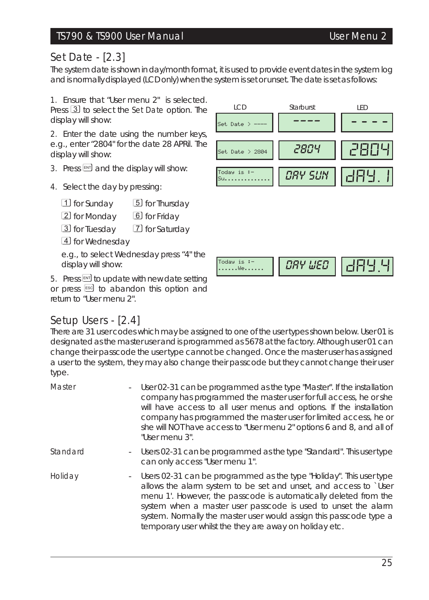## TS790 & TS900 User Manual User Menu 2

# *Set Date - [2.3]*

The system date is shown in day/month format, it is used to provide event dates in the system log and is normally displayed (LCD only) when the system isset or unset. The date isset asfollows:

1. Ensure that "User menu 2" is selected. Press 3 to select the Set Date option. The display will show:

2. Enter the date using the number keys, e.g., enter "2804" for the date 28 APRil. The display will show:

- 3. Press  $\mathbb{R}$  and the display will show:
- 4. Select the day by pressing:
	- 1 for Sunday 5 for Thursday 2 for Monday 6 for Friday 3 for Tuesday 7 for Saturday 4 for Wednesday

e.g., to select Wednesday press "4" the display will show:

5. Press  $\boxed{\mathbb{N}^n}$  to update with new date setting or press  $\epsilon$  to abandon this option and return to "User menu 2".

# *Setup Users - [2.4]*

There are 31 user codes which may be assigned to one of the user types shown below. User 01 is designated as the master user and is programmed as 5678 at the factory. Although user 01 can change their passcode the user type cannot be changed. Once the master user has assigned a user to the system, they may also change their passcode but they cannot change their user type.

Today is :-

| Master   | $\sim$ | User 02-31 can be programmed as the type "Master". If the installation<br>company has programmed the master user for full access, he or she<br>will have access to all user menus and options. If the installation<br>company has programmed the master user for limited access, he or<br>she will NOT have access to "User menu 2" options 6 and 8, and all of<br>"User menu 3".                               |
|----------|--------|-----------------------------------------------------------------------------------------------------------------------------------------------------------------------------------------------------------------------------------------------------------------------------------------------------------------------------------------------------------------------------------------------------------------|
| Standard |        | - Users 02-31 can be programmed as the type "Standard". This user type<br>can only access "User menu 1".                                                                                                                                                                                                                                                                                                        |
| Holiday  |        | - Users 02-31 can be programmed as the type "Holiday". This user type<br>allows the alarm system to be set and unset, and access to `User<br>menu 1'. However, the passcode is automatically deleted from the<br>system when a master user passcode is used to unset the alarm<br>system. Normally the master user would assign this passcode type a<br>temporary user whilst the they are away on holiday etc. |



......We...... *DAY WED* DAY.4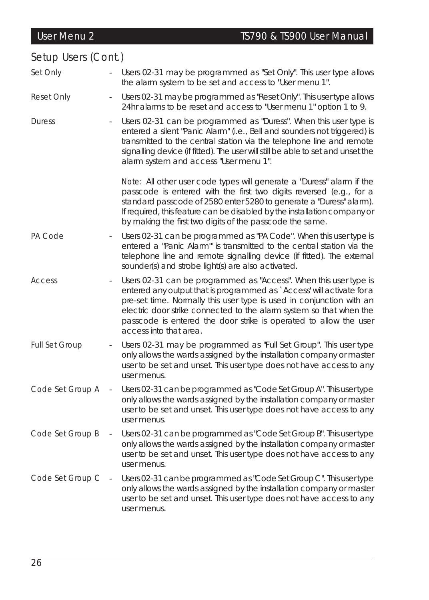### Setup Users (Cont.) Set Only **-** Users 02-31 may be programmed as "Set Only". This user type allows the alarm system to be set and access to "User menu 1". Reset Only - Users 02-31 may be programmed as "Reset Only". This user type allows 24hr alarms to be reset and access to "User menu 1" option 1 to 9. Duress - Users 02-31 can be programmed as "Duress". When this user type is entered a silent "Panic Alarm" (i.e., Bell and sounders not triggered) is transmitted to the central station via the telephone line and remote signalling device (if fitted). The user will still be able to set and unset the alarm system and access "User menu 1". *Note:* All other user code types will generate a "Duress" alarm if the passcode is entered with the first two digits reversed (e.g., for a standard passcode of 2580 enter 5280 to generate a "Duress" alarm). If required, this feature can be disabled by the installation company or by making the first two digits of the passcode the same. PA Code  $\sim$  Users 02-31 can be programmed as "PA Code". When this user type is entered a "Panic Alarm"' is transmitted to the central station via the telephone line and remote signalling device (if fitted). The external sounder(s) and strobe light(s) are also activated. Access - Users 02-31 can be programmed as "Access". When this user type is entered any output that is programmed as `Access' will activate for a pre-set time. Normally this user type is used in conjunction with an electric door strike connected to the alarm system so that when the passcode is entered the door strike is operated to allow the user access into that area. Full Set Group - Users 02-31 may be programmed as "Full Set Group". This user type only allows the wards assigned by the installation company or master user to be set and unset. This user type does not have access to any user menus. Code Set Group A - Users 02-31 can be programmed as "Code Set Group A". This user type only allows the wards assigned by the installation company or master user to be set and unset. This user type does not have access to any user menus. Code Set Group B - Users 02-31 can be programmed as "Code Set Group B". This user type only allows the wards assigned by the installation company or master user to be set and unset. This user type does not have access to any user menus. Code Set Group C - Users 02-31 can be programmed as"Code Set Group C". This user type only allows the wards assigned by the installation company or master user to be set and unset. This user type does not have access to any user menus. User Menu 2 TS790 & TS900 User Manual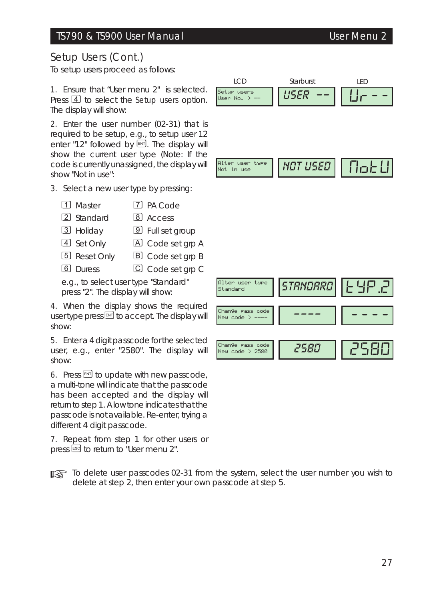# Setup Users (Cont.)

To setup users proceed as follows:

1. Ensure that "User menu 2" is selected. Press  $\overline{4}$  to select the Setup users option. The display will show:

2. Enter the user number (02-31) that is required to be setup, e.g., to setup user 12 enter "12" followed by  $EMT$ . The display will show the current user type (Note: If the code is currently unassigned, the display will show "Not in use":

- 3. Select a new user type by pressing:
	- 1 Master 7 PA Code
	- 2 Standard 8 Access
	- 3 Holiday 9 Full set group
	- 4 Set Only A Code set grp A
	- 5 Reset Only **B** Code set grp B
	- 6 Duress C Code set grp C

e.g., to select user type "Standard" press "2". The display will show:

4. When the display shows the required user type press  $\text{EM}$  to accept. The display will show:

5. Enter a 4 digit passcode for the selected user, e.g., enter "2580". The display will show:

6. Press  $\mathbb{F}$  to update with new passcode, a multi-tone will indicate that the passcode has been accepted and the display will return to step 1. A low tone indicates that the passcode is not available. Re-enter, trying a different 4 digit passcode.

7. Repeat from step 1 for other users or press  $^{\text{[ES]}}$  to return to "User menu 2".

☞ *To delete user passcodes 02-31 from the system, select the user number you wish to delete at step 2, then enter your own passcode at step 5.*



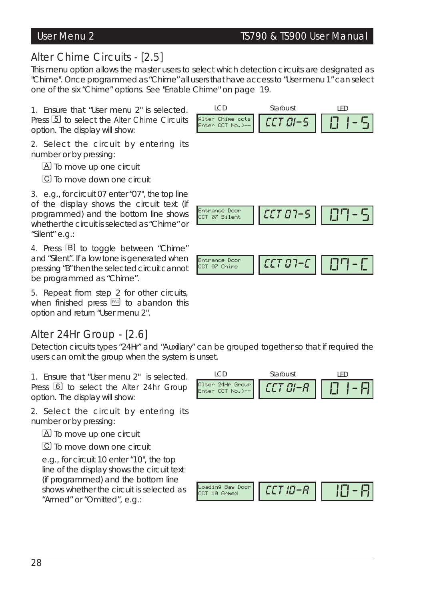LED

# *Alter Chime Circuits - [2.5]*

This menu option allows the master users to select which detection circuits are designated as "Chime". Once programmed as "Chime" all users that have access to "User menu 1" can select one of the six "Chime" options. *See "Enable Chime" on page 19.*

LCD

1. Ensure that "User menu 2" is selected. Press [5] to select the Alter Chime Circuits option. The display will show:

2. Select the circuit by entering its number or by pressing:

A To move up one circuit

C To move down one circuit

3. e.g., for circuit 07 enter "07", the top line of the display shows the circuit text (if programmed) and the bottom line shows whether the circuit is selected as "Chime" or "Silent" e.g.:

4. Press **B** to toggle between "Chime" and "Silent". If a low tone is generated when pressing "B" then the selected circuit cannot be programmed as "Chime".

5. Repeat from step 2 for other circuits, when finished press  $[58]$  to abandon this option and return "User menu 2".

# *Alter 24Hr Group - [2.6]*

Detection circuits types "24Hr" and "Auxiliary" can be grouped together so that if required the users can omit the group when the system is unset.

1. Ensure that "User menu 2" is selected. Press [6] to select the Alter 24hr Group option. The display will show:

2. Select the circuit by entering its number or by pressing:

A To move up one circuit

C To move down one circuit

e.g., for circuit 10 enter "10", the top line of the display shows the circuit text (if programmed) and the bottom line shows whether the circuit is selected as "Armed" or "Omitted", e.g.:





Starburst



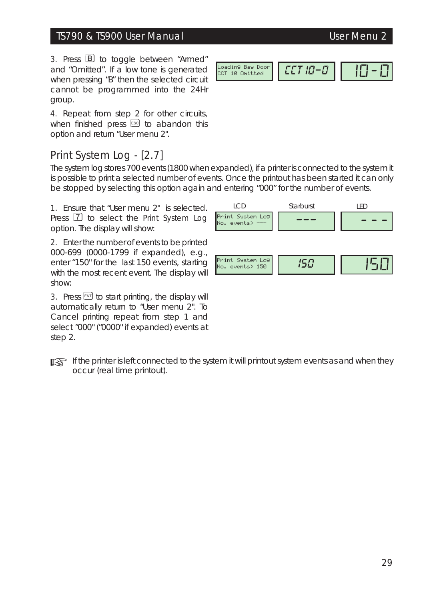# TS790 & TS900 User Manual User Menu 2

3. Press **B** to toggle between "Armed" and "Omitted". If a low tone is generated when pressing "B" then the selected circuit cannot be programmed into the 24Hr group.

4. Repeat from step 2 for other circuits, when finished press  $[Fe]$  to abandon this option and return "User menu 2".

# *Print System Log - [2.7]*

The system log stores 700 events (1800 when expanded), if a printer is connected to the system it is possible to print a selected number of events. Once the printout has been started it can only be stopped by selecting this option again and entering "000" for the number of events.

1. Ensure that "User menu 2" is selected. Press  $\boxed{7}$  to select the Print System Log option. The display will show:

2. Enter the number of events to be printed 000-699 (0000-1799 if expanded), e.g., enter "150" for the last 150 events, starting with the most recent event. The display will show:

3. Press  $\boxed{\mathrm{m}}$  to start printing, the display will automatically return to "User menu 2". To Cancel printing repeat from step 1 and select "000" ("0000" if expanded) events at step 2.

☞ *If the printer is left connected to the system it will printout system events as and when they occur (real time printout).*



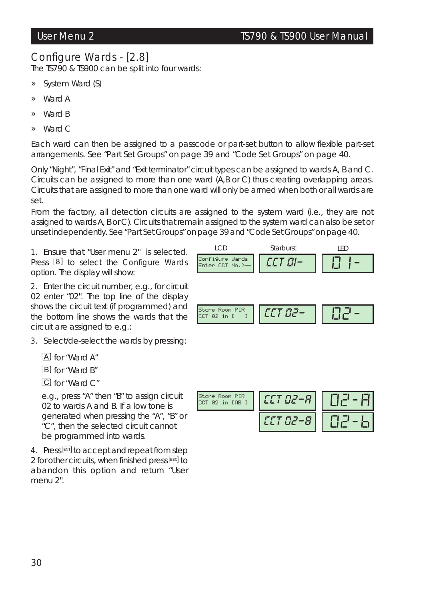# *Configure Wards - [2.8]*

The TS790 & TS900 can be split into four wards:

- » System Ward (S)
- » Ward A
- » Ward B
- » Ward C

Each ward can then be assigned to a passcode or part-set button to allow flexible part-set arrangements. *See "Part Set Groups" on page 39 and "Code Set Groups" on page 40.*

Only "Night", "Final Exit" and "Exit terminator" circuit types can be assigned to wards A, B and C. Circuits can be assigned to more than one ward (A,B or C) thus creating overlapping areas. Circuits that are assigned to more than one ward will only be armed when both or all wards are set.

From the factory, all detection circuits are assigned to the system ward (i.e., they are not assigned to wards A, B or C). Circuits that remain assigned to the system ward can also be set or unset independently. *See "Part Set Groups" on page 39 and "Code Set Groups" on page 40.*

1. Ensure that "User menu 2" is selected. Press  $\boxed{8}$  to select the Configure Wards option. The display will show:

2. Enter the circuit number, e.g., for circuit 02 enter "02". The top line of the display shows the circuit text (if programmed) and the bottom line shows the wards that the circuit are assigned to e.g.:

3. Select/de-select the wards by pressing:

A for "Ward A"

B for "Ward B"

C for "Ward C"

e.g., press "A" then "B" to assign circuit 02 to wards A and B. If a low tone is generated when pressing the "A", "B" or "C", then the selected circuit cannot be programmed into wards.

4. Press  $\mathbb{F}$  to accept and repeat from step 2 for other circuits, when finished press  $58$  to abandon this option and return "User menu 2".



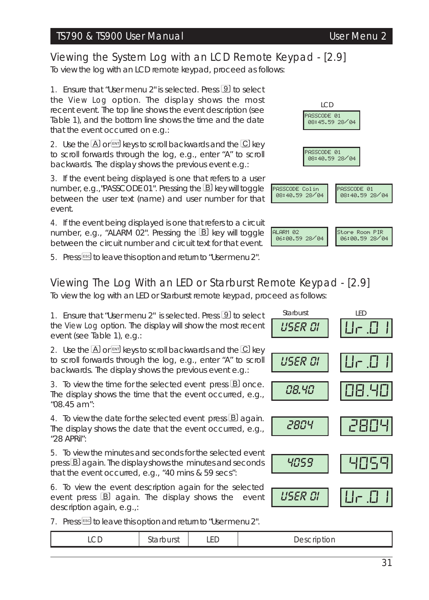### TS790 & TS900 User Manual User Menu 2

*Viewing the System Log with an LCD Remote Keypad - [2.9]*

To view the log with an LCD remote keypad, proceed as follows:

1. Ensure that "User menu 2" is selected. Press **9** to select the View Log option. The display shows the most recent event. The top line shows the event description (see Table 1), and the bottom line shows the time and the date that the event occurred on e.g.:

2. Use the  $\overline{A}$  or  $\overline{M}$  keys to scroll backwards and the  $\overline{C}$  key to scroll forwards through the log, e.g., enter "A" to scroll backwards. The display shows the previous event e.g.:

3. If the event being displayed is one that refers to a user number, e.g., "PASSCODE 01". Pressing the **B** key will toggle between the user text (name) and user number for that event.

4. If the event being displayed is one that refers to a circuit number, e.g., "ALARM 02". Pressing the  $\boxtimes$  key will toggle between the circuit number and circuit text for that event.

5. Press<sup>ESC</sup> to leave this option and return to "User menu 2".

# *Viewing The Log With an LED or Starburst Remote Keypad - [2.9]*

To view the log with an LED or Starburst remote keypad, proceed as follows:

1. Ensure that "User menu 2" is selected. Press **9** to select the View Log option. The display will show the most recent event (see Table 1), e.g.:

2. Use the  $\overline{A}$  or  $\overline{M}$  keys to scroll backwards and the  $\overline{C}$  key to scroll forwards through the log, e.g., enter "A" to scroll backwards. The display shows the previous event e.g.:

3. To view the time for the selected event press **B** once. The display shows the time that the event occurred, e.g., "08.45 am":

4. To view the date for the selected event press  $\mathbf{B}$  again. The display shows the date that the event occurred, e.g., "28 APRil":

5. To view the minutes and seconds for the selected event  $p$ ress  $B$  again. The display shows the minutes and seconds that the event occurred, e.g., "40 mins & 59 secs":

6. To view the event description again for the selected event press **B** again. The display shows the event description again, e.g.,:

7. Press Esse to leave this option and return to "User menu 2".

| uon<br>ᇅ<br>ᄔ<br>$- - - - -$ | ח ר |  | -- |  |
|------------------------------|-----|--|----|--|
|------------------------------|-----|--|----|--|





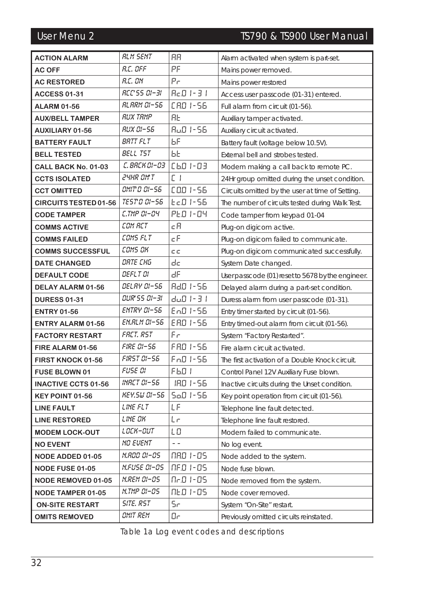# User Menu 2 TS790 & TS900 User Manual

| <b>ACTION ALARM</b>          | RLM SENT                | RЯ            | Alarm activated when system is part-set.          |
|------------------------------|-------------------------|---------------|---------------------------------------------------|
| <b>AC OFF</b>                | R.C. OFF                | PF            | Mains power removed.                              |
| <b>AC RESTORED</b>           | R.C. ON                 | Рe            | Mains power restored                              |
| <b>ACCESS 01-31</b>          | <i>RCC'55 01-31</i>     | $BcB$ 1-31    | Access user passcode (01-31) entered.             |
| <b>ALARM 01-56</b>           | RLARM 01-56             | CRO 1-56      | Full alarm from circuit (01-56).                  |
| <b>AUX/BELL TAMPER</b>       | <i>RUX TRMP</i>         | ЯĿ            | Auxiliary tamper activated.                       |
| <b>AUXILIARY 01-56</b>       | RUX 01-55               | 8u0 1-56      | Auxiliary circuit activated.                      |
| <b>BATTERY FAULT</b>         | BRTT FLT                | ЬF            | Battery fault (voltage below 10.5V).              |
| <b>BELL TESTED</b>           | <b>BELL TST</b>         | ЬĿ            | External bell and strobes tested.                 |
| CALL BACK No. 01-03          | C. BRCK 01-03           | C 60 1-03     | Modem making a call back to remote PC.            |
| <b>CCTS ISOLATED</b>         | 24HR OM'T               | ΕI            | 24Hr group omitted during the unset condition.    |
| <b>CCT OMITTED</b>           | ס5–ים סמיות             | COO 1-56      | Circuits omitted by the user at time of Setting.  |
| <b>CIRCUITS TESTED 01-56</b> | <i>TEST 0 01-56</i>     | Ec.D. 1-56.   | The number of circuits tested during Walk Test.   |
| <b>CODE TAMPER</b>           | C.TMP 01-04             | PED 1-04      | Code tamper from keypad 01-04                     |
| <b>COMMS ACTIVE</b>          | COM RET                 | cЯ            | Plug-on digicom active.                           |
| <b>COMMS FAILED</b>          | COMS FLT                | сF            | Plug-on digicom failed to communicate.            |
| <b>COMMS SUCCESSFUL</b>      | COMS OK                 | c c           | Plug-on digicom communicated successfully.        |
| <b>DATE CHANGED</b>          | DRTE CHG                | dc            | System Date changed.                              |
| <b>DEFAULT CODE</b>          | DEFLT OI                | нF            | User passcode (01) reset to 5678 by the engineer. |
| DELAY ALARM 01-56            | <i>DELRY 01</i> –56     | 8d0 1-56      | Delayed alarm during a part-set condition.        |
| <b>DURESS 01-31</b>          | <i>OUR'SS OI-3I</i>     | du0 1-3 1     | Duress alarm from user passcode (01-31).          |
| <b>ENTRY 01-56</b>           | <b>ENTRY 01-56</b>      | En0 1-56      | Entry timer started by circuit (01-56).           |
| <b>ENTRY ALARM 01-56</b>     | EN.RLM 01–56            | EAD 1-56      | Entry timed-out alarm from circuit (01-56).       |
| <b>FACTORY RESTART</b>       | FRET. RST               | F۳            | System "Factory Restarted".                       |
| FIRE ALARM 01-56             | <b>FIRE 01-56</b>       | FAO 1-56      | Fire alarm circuit activated.                     |
| FIRST KNOCK 01-56            | <i>FIRST 01-56</i>      | Fo0 1-56      | The first activation of a Double Knock circuit.   |
| <b>FUSE BLOWN 01</b>         | FUSE OI                 | F 60 T        | Control Panel 12V Auxiliary Fuse blown.           |
| <b>INACTIVE CCTS 01-56</b>   | <i>INRET 01-56</i>      | - IRO 1-56    | Inactive circuits during the Unset condition.     |
| KEY POINT 01-56              | <i>KEY.SW 01-56</i>     | SaD 1-56      | Key point operation from circuit (01-56).         |
| <b>LINE FAULT</b>            | LINE FLT                | LF            | Telephone line fault detected.                    |
| <b>LINE RESTORED</b>         | LINE OK                 | Lг            | Telephone line fault restored.                    |
| <b>MODEM LOCK-OUT</b>        | LOCK-OUT                | LΟ            | Modem failed to communicate.                      |
| <b>NO EVENT</b>              | <b>NO EVENT</b>         | $\sim$ $\sim$ | No log event.                                     |
| <b>NODE ADDED 01-05</b>      | N.AOO OI–OS             | NAD 1-05      | Node added to the system.                         |
| NODE FUSE 01-05              | N.FUSE 01–05            | NED 1-05      | Node fuse blown.                                  |
| <b>NODE REMOVED 01-05</b>    | N.REM 01-05             | Ne.0 1-05     | Node removed from the system.                     |
| <b>NODE TAMPER 01-05</b>     | <i>N.TMP 01-05</i>      | NED 1-05      | Node cover removed.                               |
| <b>ON-SITE RESTART</b>       | <i><b>SITE. RST</b></i> | Se            | System "On-Site" restart.                         |
| <b>OMITS REMOVED</b>         | OMIT REM                | Dг            | Previously omitted circuits reinstated.           |

Table 1a Log event codes and descriptions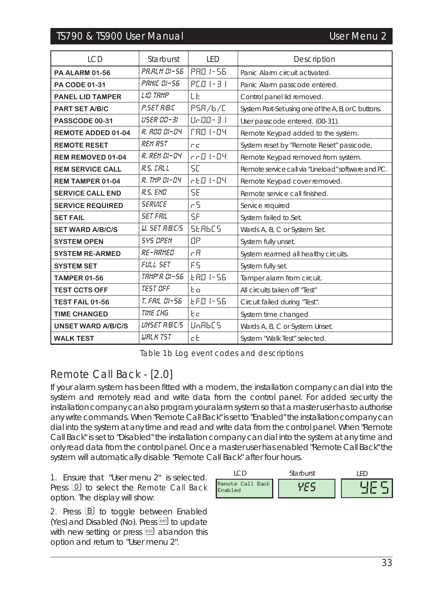# TS790 & TS900 User Manual User Menu 2

| <b>LCD</b>                | Starburst             | LED            | Description                                          |
|---------------------------|-----------------------|----------------|------------------------------------------------------|
| <b>PA ALARM 01-56</b>     | PR.RLM 01-56          | PRO 1-56       | Panic Alarm circuit activated.                       |
| PA CODE 01-31             | <b>PRNIF NI-56</b>    | PED 1-31       | Panic Alarm passcode entered.                        |
| <b>PANEL LID TAMPER</b>   | LIO TRMP              | LE             | Control panel lid removed.                           |
| <b>PART SET A/B/C</b>     | P.SET R/B/C           | PSR/6/C        | System Part-Set using one of the A, B, or C buttons. |
| PASSCODE 00-31            | USER 00-31            | Ur.00 - 3 T    | User passcode entered. (00-31).                      |
| REMOTE ADDED 01-04        | R. AOO 01–04          | F 80 1-04      | Remote Keypad added to the system.                   |
| <b>REMOTE RESET</b>       | <b>REM RST</b>        | cс             | System reset by "Remote Reset" passcode.             |
| REM REMOVED 01-04         | R. REM 01-04          | rr0 1-04.      | Remote Keypad removed from system.                   |
| <b>REM SERVICE CALL</b>   | R.S. CALL             | SE             | Remote service call via "Lineload" software and PC.  |
| <b>REM TAMPER 01-04</b>   | R. TMP 01-04          | r E.O. I - OY. | Remote Keypad cover removed.                         |
| <b>SERVICE CALL END</b>   | R.S. END              | SE             | Remote service call finished.                        |
| <b>SERVICE REQUIRED</b>   | <b>SERVICE</b>        | r S            | Service required                                     |
| <b>SET FAIL</b>           | <b>SET FRIL</b>       | SF             | System failed to Set.                                |
| <b>SET WARD A/B/C/S</b>   | <b>U. SET R/B/C/S</b> | SERBES         | Wards A, B, C or System Set.                         |
| <b>SYSTEM OPEN</b>        | <b>SYS OPEN</b>       | ПP             | System fully unset.                                  |
| <b>SYSTEM RE-ARMED</b>    | <i>RE-RRMED</i>       | cЯ             | System rearmed all healthy circuits.                 |
| <b>SYSTEM SET</b>         | FULL SET              | ۴S             | System fully set.                                    |
| <b>TAMPER 01-56</b>       | <b>TRMP'R 01-56</b>   | EAD 1-56       | Tamper alarm from circuit.                           |
| <b>TEST CCTS OFF</b>      | <b>TEST OFF</b>       | Fп             | All circuits taken off "Test"                        |
| TEST FAIL 01-56           | T. FRIL 01-56         | FFA 1-56       | Circuit failed during "Test".                        |
| <b>TIME CHANGED</b>       | <b>TIME CHG</b>       | Еc             | System time changed                                  |
| <b>UNSET WARD A/B/C/S</b> | <b>UNSET R/B/C/S</b>  | HoBbES         | Wards A, B, C or System Unset.                       |
| <b>WALK TEST</b>          | <b>WRLK TST</b>       | cE             | System "Walk Test" selected.                         |

Table 1b Log event codes and descriptions

# *Remote Call Back - [2.0]*

If your alarm system has been fitted with a modem, the installation company can dial into the system and remotely read and write data from the control panel. For added security the installation company can also program your alarm system so that a master user has to authorise any write commands. When "Remote Call Back" is set to "Enabled" the installation company can dial into the system at any time and read and write data from the control panel. When "Remote Call Back" is set to "Disabled" the installation company can dial into the system at any time and only read data from the control panel. Once a master user has enabled "Remote Call Back" the system will automatically disable "Remote Call Back" after four hours.

1. Ensure that "User menu 2" is selected. Press  $\Box$  to select the Remote Call Back option. The display will show:

2. Press  $\boxed{B}$  to toggle between Enabled (Yes) and Disabled  $(No)$ . Press  $F_N$  to update with new setting or press [ESC] abandon this option and return to "User menu 2".

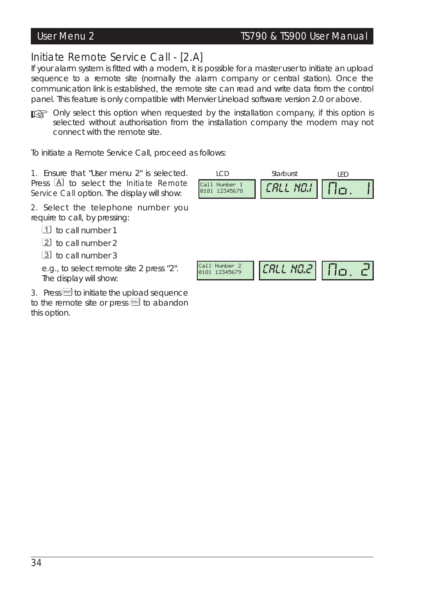# *Initiate Remote Service Call - [2.A]*

If your alarm system is fitted with a modem, it is possible for a master user to initiate an upload sequence to a remote site (normally the alarm company or central station). Once the communication link is established, the remote site can read and write data from the control panel. This feature is only compatible with Menvier Lineload software version 2.0 or above.

☞ *Only select this option when requested by the installation company, if this option is selected without authorisation from the installation company the modem may not connect with the remote site.*

To initiate a Remote Service Call, proceed as follows:

1. Ensure that "User menu 2" is selected. Press A to select the Initiate Remote Service Call option. The display will show:

2. Select the telephone number you require to call, by pressing:

1 to call number 1

2 to call number 2

3 to call number 3

e.g., to select remote site 2 press "2". The display will show:

3. Press  $\overline{em}$  to initiate the upload sequence to the remote site or press [ESC] to abandon this option.

| Number <sub>1</sub><br>ICall |  | Starburst |                   |
|------------------------------|--|-----------|-------------------|
|                              |  |           | 12345678<br>10181 |

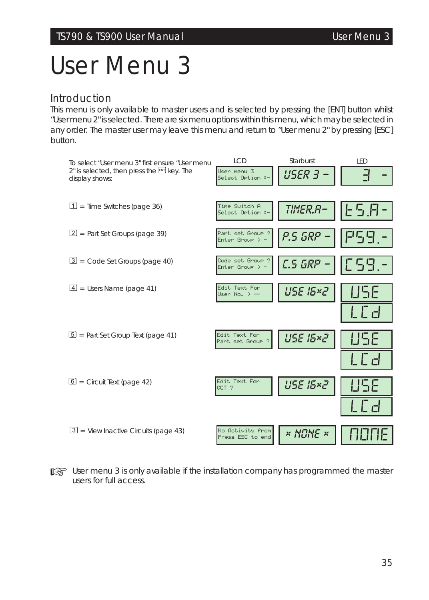# *User Menu 3*

# *Introduction*

This menu is only available to master users and is selected by pressing the [ENT] button whilst "User menu 2" is selected. There are six menu options within this menu, which may be selected in any order. The master user may leave this menu and return to "User menu 2" by pressing [ESC] button.



☞ *User menu <sup>3</sup> is only available if the installation company has programmed the master users for full access.*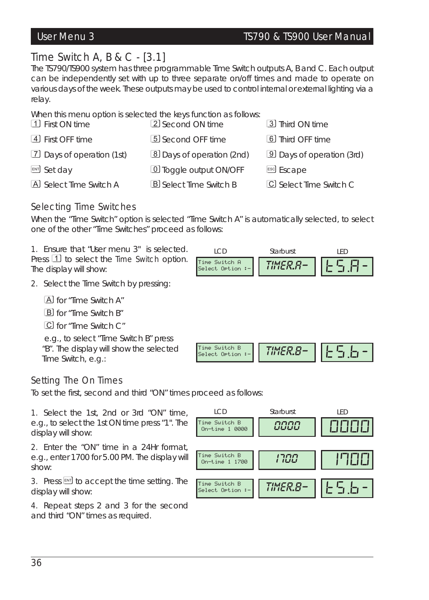# *Time Switch A, B & C - [3.1]*

The TS790/TS900 system has three programmable Time Switch outputs A, B and C. Each output can be independently set with up to three separate on/off times and made to operate on various days of the week. These outputs may be used to control internal or external lighting via a relay.

When this menu option is selected the keys function as follows:

| 1 First ON time             | 2 Second ON time              | 3 Third ON time                  |
|-----------------------------|-------------------------------|----------------------------------|
| 4 First OFF time            | 5 Second OFF time             | 6 Third OFF time                 |
| [7] Days of operation (1st) | 8 Days of operation (2nd)     | <b>9</b> Days of operation (3rd) |
| ENT Set day                 | 10 Toggle output ON/OFF       | <b>ESC</b> Escape                |
| A Select Time Switch A      | <b>B</b> Select Time Switch B | C Select Time Switch C           |

# *Selecting Time Switches*

When the "Time Switch" option is selected "Time Switch A" is automatically selected, to select one of the other "Time Switches" proceed as follows:

1. Ensure that "User menu 3" is selected. Press  $1$  to select the Time Switch option. The display will show:



2. Select the Time Switch by pressing:

A for "Time Switch A"

B for "Time Switch B"

C for "Time Switch C"

e.g., to select "Time Switch B" press "B". The display will show the selected Time Switch, e.g.:



# *Setting The On Times*

To set the first, second and third "ON" times proceed as follows:

1. Select the 1st, 2nd or 3rd "ON" time, e.g., to select the 1st ON time press "1". The display will show:

2. Enter the "ON" time in a 24Hr format, e.g., enter 1700 for 5.00 PM. The display will show:

3. Press  $\mathbb{F}$  to accept the time setting. The display will show:

4. Repeat steps 2 and 3 for the second and third "ON" times as required.

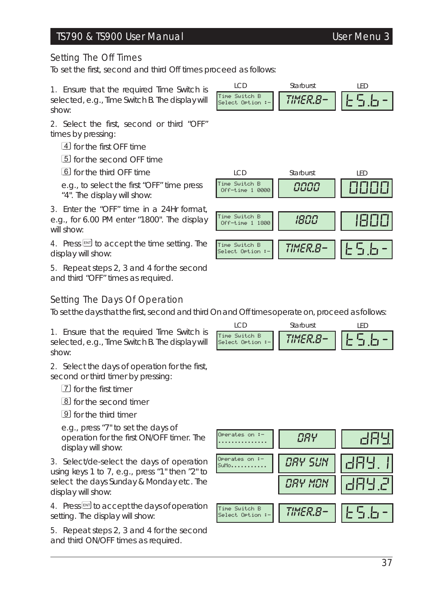## TS790 & TS900 User Manual User Menu 3

#### *Setting The Off Times*

To set the first, second and third Off times proceed as follows:

1. Ensure that the required Time Switch is selected, e.g., Time Switch B. The display will show:

2. Select the first, second or third "OFF" times by pressing:

 $\boxed{4}$  for the first OFF time

5 for the second OFF time

6 for the third OFF time

e.g., to select the first "OFF" time press "4". The display will show:

3. Enter the "OFF" time in a 24Hr format, e.g., for 6.00 PM enter "1800". The display will show:

4. Press ENT to accept the time setting. The display will show:

5. Repeat steps 2, 3 and 4 for the second and third "OFF" times as required.

### *Setting The Days Of Operation*

To set the days that the first, second and third On and Off times operate on, proceed as follows:

1. Ensure that the required Time Switch is selected, e.g., Time Switch B. The display will show:

2. Select the days of operation for the first, second or third timer by pressing:

7 for the first timer

8 for the second timer

9 for the third timer

e.g., press "7" to set the days of operation for the first ON/OFF timer. The display will show:

3. Select/de-select the days of operation using keys 1 to 7, e.g., press "1" then "2" to select the days Sunday & Monday etc. The display will show:

4. Press **ENT** to accept the days of operation setting. The display will show:

5. Repeat steps 2, 3 and 4 for the second and third ON/OFF times as required.

Time Switch B Select Ortion : LCD *TIMER.B-*Starburst TS.B-LED





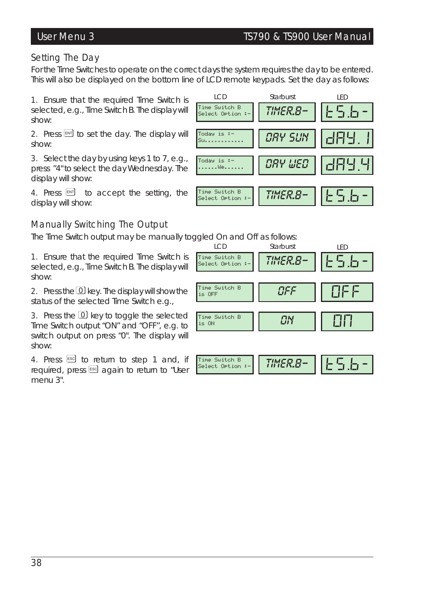### *Setting The Day*

For the Time Switches to operate on the correct days the system requires the day to be entered. This will also be displayed on the bottom line of LCD remote keypads. Set the day as follows:

1. Ensure that the required Time Switch is selected, e.g., Time Switch B. The display will show:

2. Press  $[HT]$  to set the day. The display will show:

3. Select the day by using keys 1 to 7, e.g., press "4" to select the day Wednesday. The display will show:

4. Press  $[**ENT**]$  to accept the setting, the display will show:

# *Manually Switching The Output*

The Time Switch output may be manually toggled On and Off as follows:

1. Ensure that the required Time Switch is selected, e.g., Time Switch B. The display will show:

2. Press the  $\Omega$  key. The display will show the status of the selected Time Switch e.g.,

3. Press the  $\Omega$  key to toggle the selected Time Switch output "ON" and "OFF", e.g. to switch output on press "0". The display will show:

4. Press  $\frac{1}{2}$  to return to step 1 and, if required, press <sup>[[66</sup>] again to return to "User menu 3".



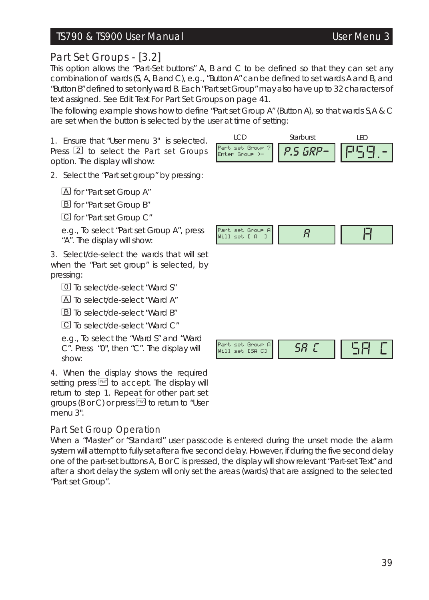## TS790 & TS900 User Manual User Menu 3

# *Part Set Groups - [3.2]*

This option allows the "Part-Set buttons" A, B and C to be defined so that they can set any combination of wards (S, A, B and C), e.g., "Button A" can be defined to set wards A and B, and "Button B" defined to set only ward B. Each "Part set Group" may also have up to 32 characters of text assigned. *See Edit Text For Part Set Groups on page 41.*

The following example shows how to define "Part set Group A" (Button A), so that wards S,A & C are set when the button is selected by the user at time of setting:

1. Ensure that "User menu 3" is selected. Press 2 to select the Part set Groups option. The display will show:



2. Select the "Part set group" by pressing:

A for "Part set Group A"

B for "Part set Group B"

C for "Part set Group C"

e.g., To select "Part set Group A", press "A". The display will show:

3. Select/de-select the wards that will set when the "Part set group" is selected, by pressing:

0 To select/de-select "Ward S"

A To select/de-select "Ward A"

B To select/de-select "Ward B"

C To select/de-select "Ward C"

e.g., To select the "Ward S" and "Ward C". Press "0", then "C". The display will show:

4. When the display shows the required setting press  $\boxed{\text{em}}$  to accept. The display will return to step 1. Repeat for other part set groups ( $B$  or  $C$ ) or press  $E$ sed to return to "User menu 3".

### Part Set Group Operation

When a "Master" or "Standard" user passcode is entered during the unset mode the alarm system will attempt to fully set after a five second delay. However, if during the five second delay one of the part-set buttons A, B or C is pressed, the display will show relevant "Part-set Text" and after a short delay the system will only set the areas (wards) that are assigned to the selected "Part set Group".

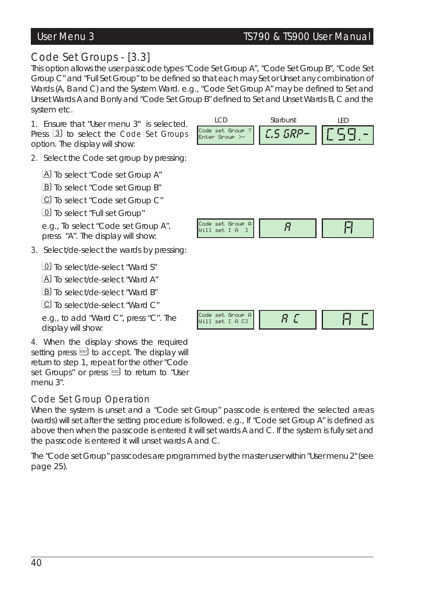# User Menu 3 TS790 & TS900 User Manual

# Code Set Group Operation

When the system is unset and a "Code set Group" passcode is entered the selected areas (wards) will set after the setting procedure is followed. e.g., If "Code set Group A" is defined as above then when the passcode is entered it will set wards A and C. If the system is fully set and the passcode is entered it will unset wards A and C.

The "Code set Group" passcodes are programmed by the master user within "User menu 2" *(see page 25).*

# 40

| This option allows the user passcode types "Code Set Group A", "Code Set Group B", "Code Set |     |           |       |
|----------------------------------------------------------------------------------------------|-----|-----------|-------|
| Group C" and "Full Set Group" to be defined so that each may Set or Unset any combination of |     |           |       |
| Wards (A, B and C) and the System Ward. e.g., "Code Set Group A" may be defined to Set and   |     |           |       |
| Unset Wards A and B only and "Code Set Group B" defined to Set and Unset Wards B, C and the  |     |           |       |
| system etc.                                                                                  |     |           |       |
| 1. Ensure that "User menu 3" is selected.                                                    | TCD | Starburst | I FD. |
|                                                                                              |     |           |       |

Press 3 to select the Code Set Groups option. The display will show:

2. Select the Code set group by pressing:

A To select "Code set Group A"

*Code Set Groups - [3.3]*

**B** To select "Code set Group B"

C To select "Code set Group C"

0 To select "Full set Group"

e.g., To select "Code set Group A", press "A". The display will show:

3. Select/de-select the wards by pressing:

0 To select/de-select "Ward S"

A To select/de-select "Ward A"

B To select/de-select "Ward B"

C To select/de-select "Ward C"

e.g., to add "Ward C", press "C". The display will show:

4. When the display shows the required setting press  $[$ return to step 1, repeat for the other "Code set Groups" or press [ESC] to return to "User menu 3".

Code set Group A

| <b>roup</b> |
|-------------|
|-------------|

 $\begin{array}{cc} \text{{\tiny\textsf{Code set Group A}}} \ \text{{\tiny\textsf{Will set I A I}}} & \text{{\tiny\textsf{A}}}\ \end{array} \hspace{-3pt} \begin{array}{cc} \text{{\tiny\textsf{A}}}& \text{{\tiny\textsf{A}}}& \text{{\tiny\textsf{A}}}& \end{array} \hspace{-3pt} \begin{array}{cc} \text{{\tiny\textsf{A}}}& \text{{\tiny\textsf{A}}}& \text{{\tiny\textsf{A}}}& \end{array}$ 

Code set Group ? Enter Group >- *C.S GRP-*CSG.-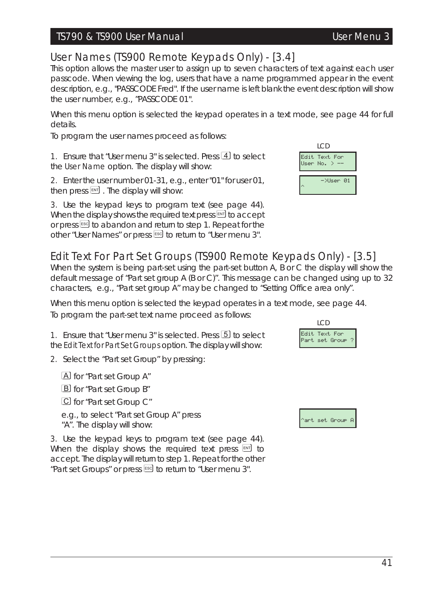### TS790 & TS900 User Manual User Menu 3

# *User Names (TS900 Remote Keypads Only) - [3.4]*

This option allows the master user to assign up to seven characters of text against each user passcode. When viewing the log, users that have a name programmed appear in the event description, e.g., "PASSCODE Fred". If the user name is left blank the event description will show the user number, e.g., "PASSCODE 01".

When this menu option is selected the keypad operates in a text mode, see page 44 for full details.

To program the user names proceed as follows:

1. Ensure that "User menu 3" is selected. Press  $\overline{4}$  to select the User Name option. The display will show:

2. Enter the user number 01-31, e.g., enter "01" for user 01, then press  $[1]$ . The display will show:

3. Use the keypad keys to program text (see page 44). When the display shows the required text press  $[10]$  to accept or press ] to abandon and return to step 1. Repeat for the other "User Names" or press <sup>[560]</sup> to return to "User menu 3".



# *Edit Text For Part Set Groups (TS900 Remote Keypads Only) - [3.5]*

When the system is being part-set using the part-set button A, B or C the display will show the default message of "Part set group A (B or C)". This message can be changed using up to 32 characters, e.g., "Part set group A" may be changed to "Setting Office area only".

When this menu option is selected the keypad operates in a text mode, see page 44. To program the part-set text name proceed as follows:

1. Ensure that "User menu 3" is selected. Press [5] to select the Edit Text for Part Set Groups option. The display will show:

2. Select the "Part set Group" by pressing:

A for "Part set Group A" B for "Part set Group B" C for "Part set Group C" e.g., to select "Part set Group A" press "A". The display will show:

3. Use the keypad keys to program text (see page 44). When the display shows the required text press  $[$ accept. The display will return to step 1. Repeat for the other "Part set Groups" or press [ssc] to return to "User menu 3".

Edit Text For .<br>Part set Group LCD

art set Group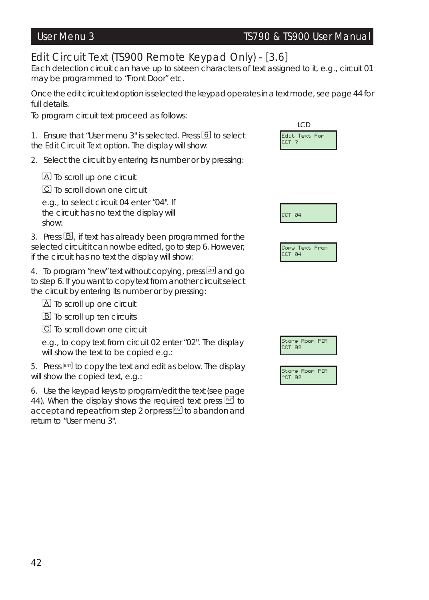# *Edit Circuit Text (TS900 Remote Keypad Only) - [3.6]*

Each detection circuit can have up to sixteen characters of text assigned to it, e.g., circuit 01 may be programmed to "Front Door" etc.

Once the edit circuit text option is selected the keypad operates in a text mode, see page 44 for full details.

To program circuit text proceed as follows:

1. Ensure that "User menu 3" is selected. Press 6 to select the Edit Circuit Text option. The display will show:

2. Select the circuit by entering its number or by pressing:

A To scroll up one circuit

C To scroll down one circuit

e.g., to select circuit 04 enter "04". If the circuit has no text the display will show:

3. Press  $\mathbb{B}$ , if text has already been programmed for the selected circuit it can now be edited, go to step 6. However, if the circuit has no text the display will show:

4. To program "new" text without copying, press [N] and go to step 6. If you want to copy text from another circuit select the circuit by entering its number or by pressing:

A To scroll up one circuit

**B** To scroll up ten circuits

C To scroll down one circuit

e.g., to copy text from circuit 02 enter "02". The display will show the text to be copied e.g.:

5. Press  $\mathbb{F}$  to copy the text and edit as below. The display will show the copied text, e.g.:

6. Use the keypad keys to program/edit the text (see page 44). When the display shows the required text press  $[30]$  to accept and repeat from step 2 or press<sup>[se]</sup> to abandon and return to "User menu 3".



|--|

Copy Text From CCT 04



Store Room PIR ^CT 02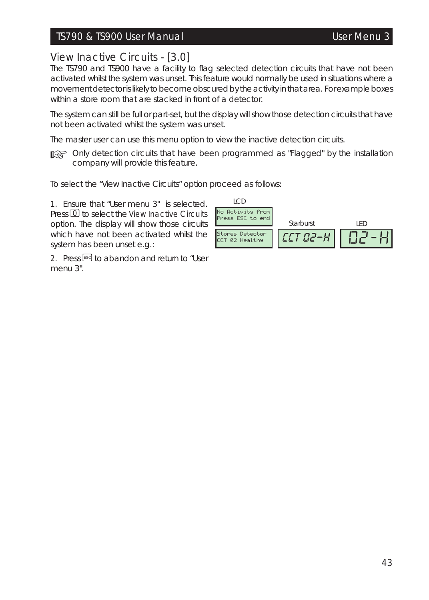## TS790 & TS900 User Manual User Menu 3

# *View Inactive Circuits - [3.0]*

The TS790 and TS900 have a facility to flag selected detection circuits that have not been activated whilst the system was unset. This feature would normally be used in situations where a movement detector islikely to become obscured by the activity in that area. For example boxes within a store room that are stacked in front of a detector.

The system can still be full or part-set, but the display will show those detection circuits that have not been activated whilst the system was unset.

The master user can use this menu option to view the inactive detection circuits.

☞ *Only detection circuits that have been programmed as "Flagged" by the installation company will provide this feature.*

To select the "View Inactive Circuits" option proceed as follows:

1. Ensure that "User menu 3" is selected. Press 0 to select the View Inactive Circuits option. The display will show those circuits which have not been activated whilst the system has been unset e.g.:

2. Press [ESC] to abandon and return to "User menu 3".

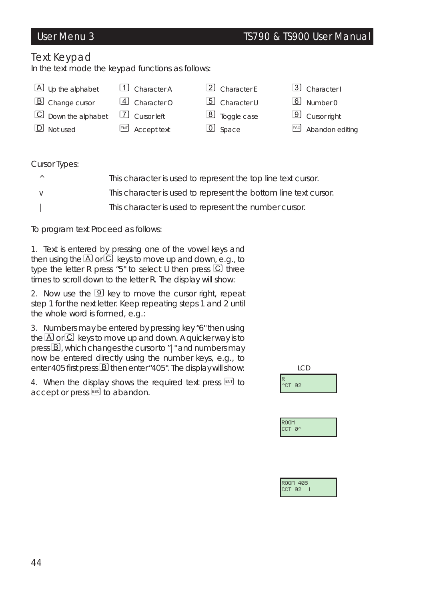# *Text Keypad*

In the text mode the keypad functions as follows:

- A Up the alphabet 1 Character A 2 Character E 3 Character I
- B Change cursor 4 Character O 5 Character U 6 Number 0
- C Down the alphabet [7] Cursor left 8 Toggle case 9 Cursor right
- 
- 
- $\boxed{D}$  Not used  $\boxed{ext}$  Accept text  $\boxed{0}$  Space  $\boxed{csc}$  Abandon editing
- 
- 
- 
- 
- 
- 

#### Cursor Types:

|   | This character is used to represent the top line text cursor.    |
|---|------------------------------------------------------------------|
| V | This character is used to represent the bottom line text cursor. |
|   | This character is used to represent the number cursor.           |

To program text Proceed as follows:

1. Text is entered by pressing one of the vowel keys and then using the  $\overline{A}$  or  $\overline{C}$  keys to move up and down, e.g., to type the letter R press "5" to select U then press  $\mathbb C$  three times to scroll down to the letter R. The display will show:

2. Now use the  $9$  key to move the cursor right, repeat step 1 for the next letter. Keep repeating steps 1 and 2 until the whole word is formed, e.g.:

3. Numbers may be entered by pressing key "6" then using the  $\overline{A}$  or  $\overline{C}$  keys to move up and down. A quicker way is to press **B**, which changes the cursor to "|" and numbers may now be entered directly using the number keys, e.g., to enter 405 first press  $B$  then enter "405". The display will show:

4. When the display shows the required text press  $[100]$  to accept or press  $\text{I}$  to abandon.

| ᄔ                       |  |
|-------------------------|--|
| R<br><sup>1</sup> CT 02 |  |
|                         |  |
| ROOM<br>CCT 0^          |  |
|                         |  |
|                         |  |
| ROOM 405                |  |

 $\overline{a}$ 

# User Menu 3 TS790 & TS900 User Manual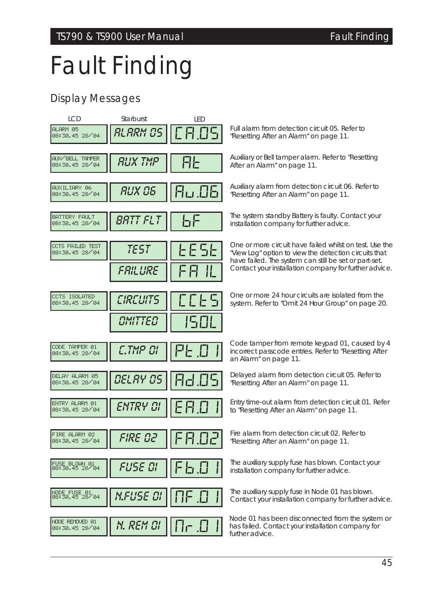# *Fault Finding*

# *Display Messages*

| <b>ICD</b>                         | Starburst       | <b>IFD</b> |                                                                                                                                  |
|------------------------------------|-----------------|------------|----------------------------------------------------------------------------------------------------------------------------------|
| ALARM 05<br>08:30.45 28 / 04       | RLARM OS        | 8.09       | Full alarm from detection circuit 05. Refer to<br>"Resetting After an Alarm" on page 11.                                         |
| AUX/BELL TAMPER<br>08:30.45 28/04  | <b>RUX TMP</b>  | AŁ         | Auxiliary or Bell tamper alarm. Refer to "Resetting<br>After an Alarm" on page 11.                                               |
| AUXILIARY 06<br>08:30.45 28 / 04   | RUX 06          | 8u.O6      | Auxiliary alarm from detection circuit 06. Refer to<br>"Resetting After an Alarm" on page 11.                                    |
| BATTERY FAULT<br>08:30.45 28/04    | <i>BRTT FLT</i> | ЬF         | The system standby Battery is faulty. Contact your<br>installation company for further advice.                                   |
| CCTS FAILED TEST<br>08:30.45 28/04 | <b>TEST</b>     | 66 S 6     | One or more circuit have failed whilst on test. Use the<br>"View Log" option to view the detection circuits that                 |
|                                    | <i>FRILURE</i>  | Ш          | have failed. The system can still be set or part-set.<br>Contact your installation company for further advice.                   |
| CCTS ISOLATED<br>08:30.45 28/04    | <b>CIRCUITS</b> | とことら       | One or more 24 hour circuits are isolated from the<br>system. Refer to "Omit 24 Hour Group" on page 20.                          |
|                                    | OMITTED         | 1501       |                                                                                                                                  |
|                                    |                 |            |                                                                                                                                  |
| CODE TAMPER 01<br>08:30.45 28/04   | C.TMP OI        | 마          | Code tamper from remote keypad 01, caused by 4<br>incorrect passcode entries. Refer to "Resetting After<br>an Alarm" on page 11. |
| DELAY ALARM 05<br>08:30.45 28/04   | <b>DELAY OS</b> | 82.OS      | Delayed alarm from detection circuit 05. Refer to<br>"Resetting After an Alarm" on page 11.                                      |
| ENTRY ALARM 01<br>08:30.45 28/04   | ENTRY OI        | E 8.0      | Entry time-out alarm from detection circuit 01. Refer<br>to "Resetting After an Alarm" on page 11.                               |
| FIRE ALARM 02<br>08:30.45 28/04    | FIRE 02         | FA.O2      | Fire alarm from detection circuit 02. Refer to<br>"Resetting After an Alarm" on page 11.                                         |
| FUSE BLOWN 01<br>08:30.45 28/04    | FUSE DI         | F 5.O      | The auxiliary supply fuse has blown. Contact your<br>installation company for further advice.                                    |
| NODE FUSE 01<br>08:30.45 28 04     | N.FUSE OI       |            | The auxiliary supply fuse in Node 01 has blown.<br>Contact your installation company for further advice.                         |
| NODE REMOVED 01<br>08:30.45 28/04  | N. REM OI       | 1 I r      | Node 01 has been disconnected from the system or<br>has failed. Contact your installation company for<br>further advice.         |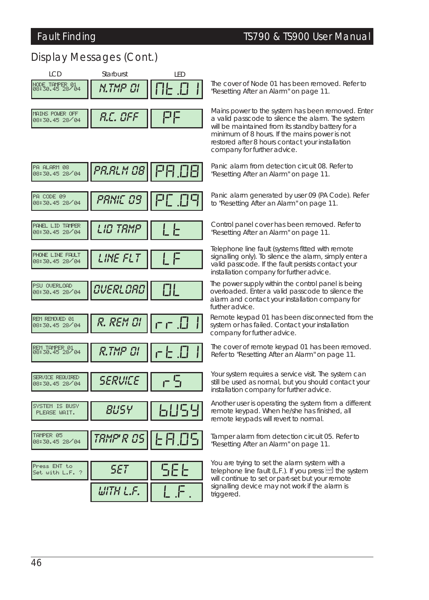PA ALARM 00 08:30.45 28/04

# *Display Messages (Cont.)*



The cover of Node <sup>01</sup> has been removed. Refer to *N "Resetting After an Alarm" on page 11. .TMP 01*

Mains power to the system has been removed. Enter a valid passcode to silence the alarm. The system will be maintained from its standby battery for a minimum of 8 hours. If the mains power is not restored after 8 hours contact your installation company for further advice.

Panic alarm from detection circuit 08. Refer to *PA "Resetting After an Alarm" on page 11. .ALM <sup>08</sup>* PA.08

Panic alarm generated by user <sup>09</sup> (PA Code). Refer *PAN* to *"Resetting After an Alarm" on page 11. IC <sup>09</sup>* PC.09

**Control panel cover has been removed. Refer to** *REFERENT* **LTE** *Resetting After an Alarm" on page 11.* 

Telephone line fault (systems fitted with remote signalling only). To silence the alarm, simply enter a valid passcode. If the fault persists contact your installation company for further advice.

The power supply within the control panel is being overloaded. Enter a valid passcode to silence the alarm and contact your installation company for further advice.

Remote keypad 01 has been disconnected from the system or has failed. Contact your installation company for further advice.

 $\overline{R}$  **R RIMP 01**  $\begin{bmatrix} 1 & 1 \end{bmatrix}$  **Refer to** *"Resetting After an Alarm" on page 11.* 

Your system requires a service visit. The system can still be used as normal, but you should contact your installation company for further advice.

Another user is operating the system from a different remote keypad. When he/she has finished, all remote keypads will revert to normal.

Tamper alarm from detection circuit 05. Refer to  $T$ *RMP'*  $R$   $\mathcal{B}$   $S$   $\parallel$   $\vdash$   $\Box$   $\Box$   $\Box$   $\parallel$   $\vdash$   $\Box$   $\vdash$   $\Box$   $\vdash$   $\Box$   $\vdash$   $\Box$   $\vdash$   $\Box$   $\vdash$   $\Box$   $\vdash$   $\Box$   $\Box$   $\vdash$   $\Box$   $\vdash$   $\Box$   $\Box$   $\vdash$   $\Box$   $\vdash$   $\Box$   $\vdash$   $\Box$   $\vdash$   $\Box$   $\vdash$   $\Box$ 

> You are trying to set the alarm system with a telephone line fault (L.F.). If you press  $F$  the system will continue to set or part-set but your remote signalling device may not work if the alarm is triggered.

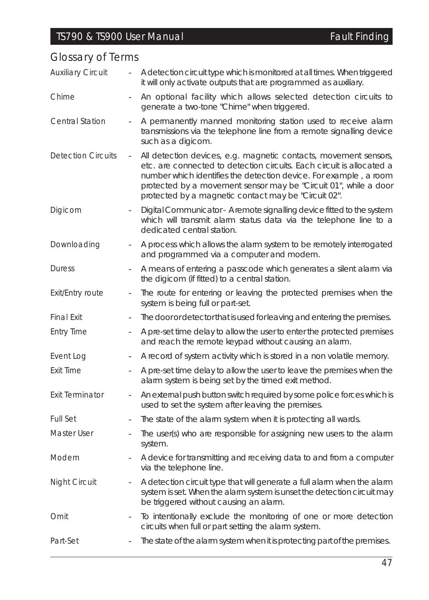| Giussal y Ul Terriis      |                          |                                                                                                                                                                                                                                                                                                                                            |
|---------------------------|--------------------------|--------------------------------------------------------------------------------------------------------------------------------------------------------------------------------------------------------------------------------------------------------------------------------------------------------------------------------------------|
| <b>Auxiliary Circuit</b>  | $\overline{a}$           | A detection circuit type which is monitored at all times. When triggered<br>it will only activate outputs that are programmed as auxiliary.                                                                                                                                                                                                |
| Chime                     |                          | An optional facility which allows selected detection circuits to<br>generate a two-tone "Chime" when triggered.                                                                                                                                                                                                                            |
| <b>Central Station</b>    |                          | A permanently manned monitoring station used to receive alarm<br>transmissions via the telephone line from a remote signalling device<br>such as a digicom.                                                                                                                                                                                |
| <b>Detection Circuits</b> | $\overline{\phantom{a}}$ | All detection devices, e.g. magnetic contacts, movement sensors,<br>etc. are connected to detection circuits. Each circuit is allocated a<br>number which identifies the detection device. For example, a room<br>protected by a movement sensor may be "Circuit 01", while a door<br>protected by a magnetic contact may be "Circuit 02". |
| Digicom                   | $\overline{\phantom{a}}$ | Digital Communicator - A remote signalling device fitted to the system<br>which will transmit alarm status data via the telephone line to a<br>dedicated central station.                                                                                                                                                                  |
| Downloading               |                          | A process which allows the alarm system to be remotely interrogated<br>and programmed via a computer and modem.                                                                                                                                                                                                                            |
| <b>Duress</b>             | $\overline{\phantom{a}}$ | A means of entering a passcode which generates a silent alarm via<br>the digicom (if fitted) to a central station.                                                                                                                                                                                                                         |
| <b>Exit/Entry route</b>   |                          | The route for entering or leaving the protected premises when the<br>system is being full or part-set.                                                                                                                                                                                                                                     |
| <b>Final Exit</b>         |                          | The door or detector that is used for leaving and entering the premises.                                                                                                                                                                                                                                                                   |
| <b>Entry Time</b>         |                          | A pre-set time delay to allow the user to enter the protected premises<br>and reach the remote keypad without causing an alarm.                                                                                                                                                                                                            |
| Event Log                 |                          | A record of system activity which is stored in a non volatile memory.                                                                                                                                                                                                                                                                      |
| Exit Time                 |                          | A pre-set time delay to allow the user to leave the premises when the<br>alarm system is being set by the timed exit method.                                                                                                                                                                                                               |
| <b>Exit Terminator</b>    | $\overline{\phantom{a}}$ | An external push button switch required by some police forces which is<br>used to set the system after leaving the premises.                                                                                                                                                                                                               |
| <b>Full Set</b>           | $\overline{a}$           | The state of the alarm system when it is protecting all wards.                                                                                                                                                                                                                                                                             |
| Master User               | $\overline{\phantom{a}}$ | The user(s) who are responsible for assigning new users to the alarm<br>system.                                                                                                                                                                                                                                                            |
| Modem                     |                          | A device for transmitting and receiving data to and from a computer<br>via the telephone line.                                                                                                                                                                                                                                             |
| <b>Night Circuit</b>      |                          | A detection circuit type that will generate a full alarm when the alarm<br>system is set. When the alarm system is unset the detection circuit may<br>be triggered without causing an alarm.                                                                                                                                               |
| Omit                      | $\overline{\phantom{a}}$ | To intentionally exclude the monitoring of one or more detection<br>circuits when full or part setting the alarm system.                                                                                                                                                                                                                   |
| Part-Set                  |                          | The state of the alarm system when it is protecting part of the premises.                                                                                                                                                                                                                                                                  |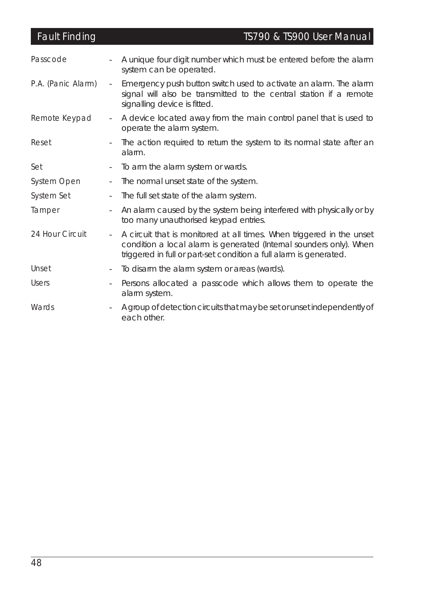| <b>Fault Finding</b> |                          | TS790 & TS900 User Manual                                                                                                                                                                                          |
|----------------------|--------------------------|--------------------------------------------------------------------------------------------------------------------------------------------------------------------------------------------------------------------|
| Passcode             |                          | A unique four digit number which must be entered before the alarm<br>system can be operated.                                                                                                                       |
| P.A. (Panic Alarm)   | $\sim$                   | Emergency push button switch used to activate an alarm. The alarm<br>signal will also be transmitted to the central station if a remote<br>signalling device is fitted.                                            |
| Remote Keypad        | $\overline{\phantom{a}}$ | A device located away from the main control panel that is used to<br>operate the alarm system.                                                                                                                     |
| Reset                | $\overline{\phantom{0}}$ | The action required to return the system to its normal state after an<br>alarm.                                                                                                                                    |
| Set                  | $\overline{\phantom{a}}$ | To arm the alarm system or wards.                                                                                                                                                                                  |
| System Open          | $\overline{\phantom{a}}$ | The normal unset state of the system.                                                                                                                                                                              |
| System Set           | $\overline{\phantom{a}}$ | The full set state of the alarm system.                                                                                                                                                                            |
| Tamper               | $\sim$                   | An alarm caused by the system being interfered with physically or by<br>too many unauthorised keypad entries.                                                                                                      |
| 24 Hour Circuit      | $\sim$                   | A circuit that is monitored at all times. When triggered in the unset<br>condition a local alarm is generated (Internal sounders only). When<br>triggered in full or part-set condition a full alarm is generated. |
| Unset                | $\overline{\phantom{a}}$ | To disarm the alarm system or areas (wards).                                                                                                                                                                       |
| <b>Users</b>         | $\overline{\phantom{a}}$ | Persons allocated a passcode which allows them to operate the<br>alarm system.                                                                                                                                     |
| Wards                |                          | A group of detection circuits that may be set or unset independently of<br>each other.                                                                                                                             |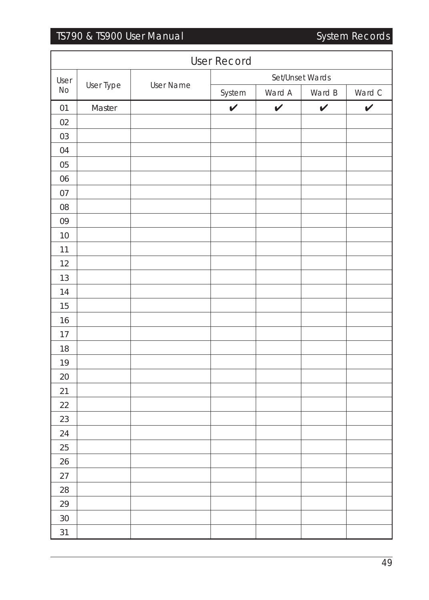# TS790 & TS900 User Manual System Records

| <b>User Record</b> |           |                  |              |              |                 |              |  |
|--------------------|-----------|------------------|--------------|--------------|-----------------|--------------|--|
| User               |           |                  |              |              | Set/Unset Wards |              |  |
| <b>No</b>          | User Type | <b>User Name</b> | System       | Ward A       | Ward B          | Ward C       |  |
| 01                 | Master    |                  | $\checkmark$ | $\checkmark$ | $\checkmark$    | $\checkmark$ |  |
| 02                 |           |                  |              |              |                 |              |  |
| 03                 |           |                  |              |              |                 |              |  |
| 04                 |           |                  |              |              |                 |              |  |
| 05                 |           |                  |              |              |                 |              |  |
| 06                 |           |                  |              |              |                 |              |  |
| 07                 |           |                  |              |              |                 |              |  |
| 08                 |           |                  |              |              |                 |              |  |
| 09                 |           |                  |              |              |                 |              |  |
| 10                 |           |                  |              |              |                 |              |  |
| 11                 |           |                  |              |              |                 |              |  |
| 12                 |           |                  |              |              |                 |              |  |
| 13                 |           |                  |              |              |                 |              |  |
| 14                 |           |                  |              |              |                 |              |  |
| 15                 |           |                  |              |              |                 |              |  |
| 16                 |           |                  |              |              |                 |              |  |
| 17                 |           |                  |              |              |                 |              |  |
| 18                 |           |                  |              |              |                 |              |  |
| 19                 |           |                  |              |              |                 |              |  |
| 20                 |           |                  |              |              |                 |              |  |
| 21                 |           |                  |              |              |                 |              |  |
| 22                 |           |                  |              |              |                 |              |  |
| 23                 |           |                  |              |              |                 |              |  |
| 24                 |           |                  |              |              |                 |              |  |
| 25                 |           |                  |              |              |                 |              |  |
| 26                 |           |                  |              |              |                 |              |  |
| 27                 |           |                  |              |              |                 |              |  |
| 28                 |           |                  |              |              |                 |              |  |
| 29                 |           |                  |              |              |                 |              |  |
| 30                 |           |                  |              |              |                 |              |  |
| 31                 |           |                  |              |              |                 |              |  |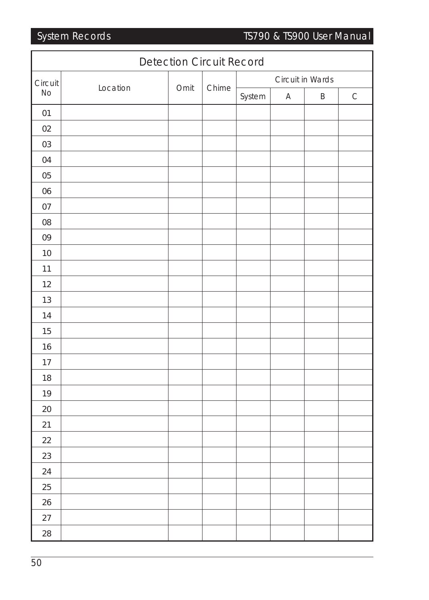System Records TS790 & TS900 User Manual

| <b>Detection Circuit Record</b> |          |      |       |        |                  |   |             |  |
|---------------------------------|----------|------|-------|--------|------------------|---|-------------|--|
| Circuit                         |          |      |       |        | Circuit in Wards |   |             |  |
| No                              | Location | Omit | Chime | System | $\mathsf A$      | B | $\mathsf C$ |  |
| 01                              |          |      |       |        |                  |   |             |  |
| 02                              |          |      |       |        |                  |   |             |  |
| 03                              |          |      |       |        |                  |   |             |  |
| 04                              |          |      |       |        |                  |   |             |  |
| 05                              |          |      |       |        |                  |   |             |  |
| 06                              |          |      |       |        |                  |   |             |  |
| 07                              |          |      |       |        |                  |   |             |  |
| 08                              |          |      |       |        |                  |   |             |  |
| 09                              |          |      |       |        |                  |   |             |  |
| 10                              |          |      |       |        |                  |   |             |  |
| 11                              |          |      |       |        |                  |   |             |  |
| 12                              |          |      |       |        |                  |   |             |  |
| 13                              |          |      |       |        |                  |   |             |  |
| 14                              |          |      |       |        |                  |   |             |  |
| 15                              |          |      |       |        |                  |   |             |  |
| 16                              |          |      |       |        |                  |   |             |  |
| $17$                            |          |      |       |        |                  |   |             |  |
| 18                              |          |      |       |        |                  |   |             |  |
| 19                              |          |      |       |        |                  |   |             |  |
| 20                              |          |      |       |        |                  |   |             |  |
| 21                              |          |      |       |        |                  |   |             |  |
| 22                              |          |      |       |        |                  |   |             |  |
| 23                              |          |      |       |        |                  |   |             |  |
| 24                              |          |      |       |        |                  |   |             |  |
| 25                              |          |      |       |        |                  |   |             |  |
| 26                              |          |      |       |        |                  |   |             |  |
| 27                              |          |      |       |        |                  |   |             |  |
| 28                              |          |      |       |        |                  |   |             |  |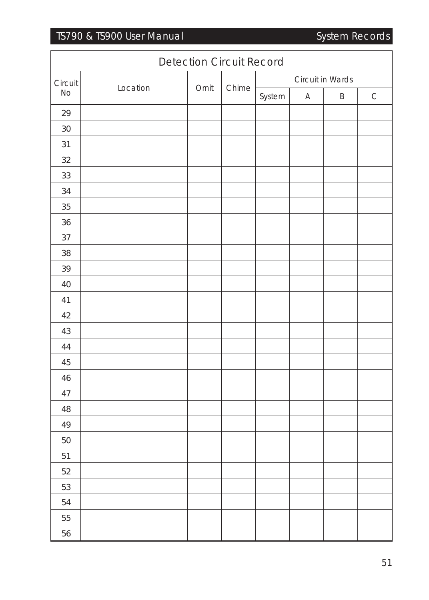# TS790 & TS900 User Manual System Records

|         | <b>Detection Circuit Record</b> |               |  |                  |             |   |             |  |
|---------|---------------------------------|---------------|--|------------------|-------------|---|-------------|--|
| Circuit |                                 | Chime<br>Omit |  | Circuit in Wards |             |   |             |  |
| No      | Location                        |               |  | System           | $\mathsf A$ | B | $\mathsf C$ |  |
| 29      |                                 |               |  |                  |             |   |             |  |
| 30      |                                 |               |  |                  |             |   |             |  |
| 31      |                                 |               |  |                  |             |   |             |  |
| 32      |                                 |               |  |                  |             |   |             |  |
| 33      |                                 |               |  |                  |             |   |             |  |
| 34      |                                 |               |  |                  |             |   |             |  |
| 35      |                                 |               |  |                  |             |   |             |  |
| 36      |                                 |               |  |                  |             |   |             |  |
| 37      |                                 |               |  |                  |             |   |             |  |
| 38      |                                 |               |  |                  |             |   |             |  |
| 39      |                                 |               |  |                  |             |   |             |  |
| 40      |                                 |               |  |                  |             |   |             |  |
| 41      |                                 |               |  |                  |             |   |             |  |
| 42      |                                 |               |  |                  |             |   |             |  |
| 43      |                                 |               |  |                  |             |   |             |  |
| 44      |                                 |               |  |                  |             |   |             |  |
| 45      |                                 |               |  |                  |             |   |             |  |
| 46      |                                 |               |  |                  |             |   |             |  |
| 47      |                                 |               |  |                  |             |   |             |  |
| 48      |                                 |               |  |                  |             |   |             |  |
| 49      |                                 |               |  |                  |             |   |             |  |
| 50      |                                 |               |  |                  |             |   |             |  |
| 51      |                                 |               |  |                  |             |   |             |  |
| 52      |                                 |               |  |                  |             |   |             |  |
| 53      |                                 |               |  |                  |             |   |             |  |
| 54      |                                 |               |  |                  |             |   |             |  |
| 55      |                                 |               |  |                  |             |   |             |  |
| 56      |                                 |               |  |                  |             |   |             |  |